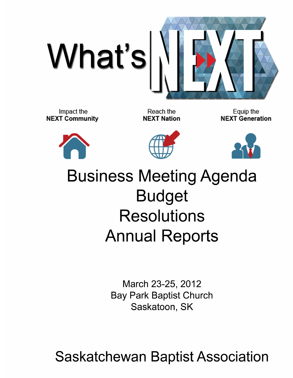

Impact the **NEXT Community** 

Reach the **NEXT Nation** 

Equip the **NEXT Generation** 







# **Business Meeting Agenda Budget Resolutions Annual Reports**

March 23-25, 2012 **Bay Park Baptist Church** Saskatoon, SK

**Saskatchewan Baptist Association**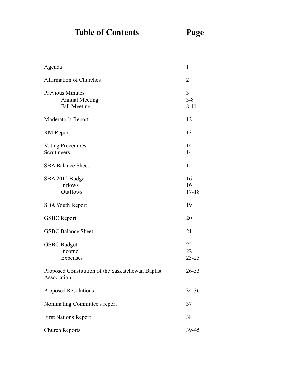#### **Table of Contents Page**

| Agenda                                                           | 1                        |
|------------------------------------------------------------------|--------------------------|
| Affirmation of Churches                                          | $\overline{2}$           |
| <b>Previous Minutes</b><br><b>Annual Meeting</b><br>Fall Meeting | 3<br>$3 - 8$<br>$8 - 11$ |
| Moderator's Report                                               | 12                       |
| <b>RM</b> Report                                                 | 13                       |
| <b>Voting Procedures</b><br>Scrutineers                          | 14<br>14                 |
| <b>SBA Balance Sheet</b>                                         | 15                       |
| SBA 2012 Budget<br>Inflows<br>Outflows                           | 16<br>16<br>$17 - 18$    |
| <b>SBA Youth Report</b>                                          | 19                       |
| <b>GSBC</b> Report                                               | 20                       |
| <b>GSBC Balance Sheet</b>                                        | 21                       |
| <b>GSBC</b> Budget<br>Income<br><b>Expenses</b>                  | 22<br>22<br>$23 - 25$    |
| Proposed Constitution of the Saskatchewan Baptist<br>Association | 26-33                    |
| <b>Proposed Resolutions</b>                                      | 34-36                    |
| Nominating Committee's report                                    | 37                       |
| <b>First Nations Report</b>                                      | 38                       |
| <b>Church Reports</b>                                            | 39-45                    |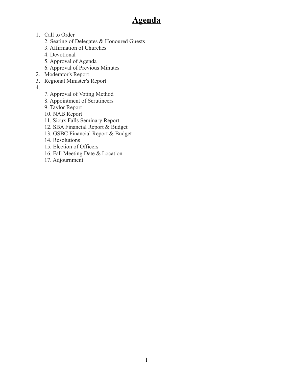## **Agenda**

- 1. Call to Order
	- 2. Seating of Delegates & Honoured Guests
	- 3. Affirmation of Churches
	- 4. Devotional
	- 5. Approval of Agenda
	- 6. Approval of Previous Minutes
- 2. Moderator's Report
- 3. Regional Minister's Report
- 4.
- 7. Approval of Voting Method
- 8. Appointment of Scrutineers
- 9. Taylor Report
- 10. NAB Report
- 11. Sioux Falls Seminary Report
- 12. SBA Financial Report & Budget
- 13. GSBC Financial Report & Budget
- 14. Resolutions
- 15. Election of Officers
- 16. Fall Meeting Date & Location
- 17. Adjournment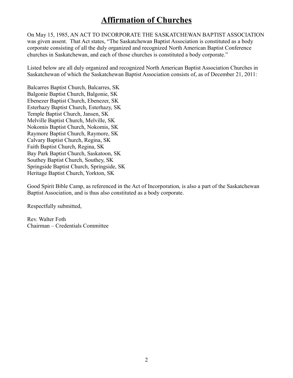## **Affirmation of Churches**

On May 15, 1985, AN ACT TO INCORPORATE THE SASKATCHEWAN BAPTIST ASSOCIATION was given assent. That Act states, "The Saskatchewan Baptist Association is constituted as a body corporate consisting of all the duly organized and recognized North American Baptist Conference churches in Saskatchewan, and each of those churches is constituted a body corporate."

Listed below are all duly organized and recognized North American Baptist Association Churches in Saskatchewan of which the Saskatchewan Baptist Association consists of, as of December 21, 2011:

Balcarres Baptist Church, Balcarres, SK Balgonie Baptist Church, Balgonie, SK Ebenezer Baptist Church, Ebenezer, SK Esterhazy Baptist Church, Esterhazy, SK Temple Baptist Church, Jansen, SK Melville Baptist Church, Melville, SK Nokomis Baptist Church, Nokomis, SK Raymore Baptist Church, Raymore, SK Calvary Baptist Church, Regina, SK Faith Baptist Church, Regina, SK Bay Park Baptist Church, Saskatoon, SK Southey Baptist Church, Southey, SK Springside Baptist Church, Springside, SK Heritage Baptist Church, Yorkton, SK

Good Spirit Bible Camp, as referenced in the Act of Incorporation, is also a part of the Saskatchewan Baptist Association, and is thus also constituted as a body corporate.

Respectfully submitted,

Rev. Walter Foth Chairman – Credentials Committee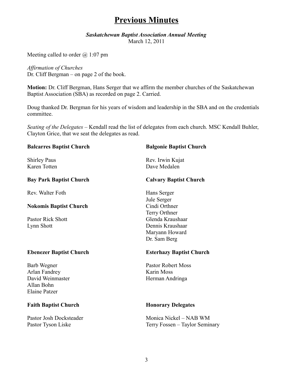## **Previous Minutes**

#### *Saskatchewan Baptist Association Annual Meeting* March 12, 2011

Meeting called to order @ 1:07 pm

*Affirmation of Churches* Dr. Cliff Bergman – on page 2 of the book.

**Motion:** Dr. Cliff Bergman, Hans Serger that we affirm the member churches of the Saskatchewan Baptist Association (SBA) as recorded on page 2. Carried.

Doug thanked Dr. Bergman for his years of wisdom and leadership in the SBA and on the credentials committee.

*Seating of the Delegates* – Kendall read the list of delegates from each church. MSC Kendall Buhler, Clayton Grice, that we seat the delegates as read.

| <b>Balcarres Baptist Church</b> | <b>Balgonie Baptist Church</b>  |
|---------------------------------|---------------------------------|
| <b>Shirley Paus</b>             | Rev. Irwin Kujat                |
| Karen Totten                    | Dave Medalen                    |
| <b>Bay Park Baptist Church</b>  | <b>Calvary Baptist Church</b>   |
| Rev. Walter Foth                | Hans Serger                     |
|                                 | Jule Serger                     |
| <b>Nokomis Baptist Church</b>   | Cindi Orthner                   |
|                                 | Terry Orthner                   |
| Pastor Rick Shott               | Glenda Kraushaar                |
| Lynn Shott                      | Dennis Kraushaar                |
|                                 | Maryann Howard                  |
|                                 | Dr. Sam Berg                    |
| <b>Ebenezer Baptist Church</b>  | <b>Esterhazy Baptist Church</b> |
| Barb Wegner                     | <b>Pastor Robert Moss</b>       |
| Arlan Fandrey                   | <b>Karin Moss</b>               |
| David Weinmaster                | Herman Andringa                 |
| Allan Bohn                      |                                 |
| <b>Elaine Patzer</b>            |                                 |
| <b>Faith Baptist Church</b>     | <b>Honorary Delegates</b>       |
| Pastor Josh Docksteader         | Monica Nickel – NAB WM          |
| Pastor Tyson Liske              | Terry Fossen – Taylor Seminary  |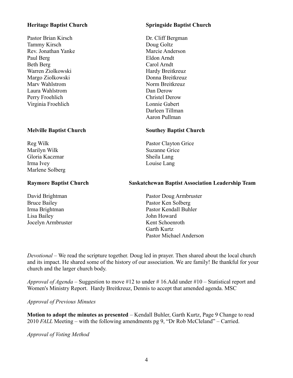Pastor Brian Kirsch Dr. Cliff Bergman Tammy Kirsch Doug Goltz Rev. Jonathan Yanke Marcie Anderson Paul Berg Eldon Arndt Beth Berg Carol Arndt Warren Ziolkowski Hardy Breitkreuz Margo Ziolkowski Donna Breitkreuz Marv Wahlstrom Norm Breitkreuz Laura Wahlstrom Dan Derow Perry Froehlich Christel Derow Virginia Froehlich Lonnie Gabert

#### **Melville Baptist Church Southey Baptist Church**

Marilyn Wilk Suzanne Grice Gloria Kaczmar Sheila Lang Irma Ivey Louise Lang Marlene Solberg

Lisa Bailey John Howard Jocelyn Armbruster Kent Schoenroth

#### **Heritage Baptist Church Springside Baptist Church**

Darleen Tillman Aaron Pullman

Reg Wilk **Pastor Clayton Grice** 

#### **Raymore Baptist Church Saskatchewan Baptist Association Leadership Team**

David Brightman Pastor Doug Armbruster Bruce Bailey **Pastor Ken Solberg** Irma Brightman Pastor Kendall Buhler Garth Kurtz Pastor Michael Anderson

*Devotional* – We read the scripture together. Doug led in prayer. Then shared about the local church and its impact. He shared some of the history of our association. We are family! Be thankful for your church and the larger church body.

*Approval of Agenda* – Suggestion to move #12 to under # 16.Add under #10 – Statistical report and Women's Ministry Report. Hardy Breitkreuz, Dennis to accept that amended agenda. MSC

#### *Approval of Previous Minutes*

**Motion to adopt the minutes as presented** – Kendall Buhler, Garth Kurtz, Page 9 Change to read 2010 *FALL* Meeting – with the following amendments pg 9, "Dr Rob McCleland" – Carried.

*Approval of Voting Method*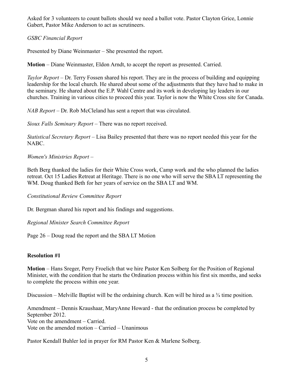Asked for 3 volunteers to count ballots should we need a ballot vote. Pastor Clayton Grice, Lonnie Gabert, Pastor Mike Anderson to act as scrutineers.

*GSBC Financial Report*

Presented by Diane Weinmaster – She presented the report.

**Motion** – Diane Weinmaster, Eldon Arndt, to accept the report as presented. Carried.

*Taylor Report* – Dr. Terry Fossen shared his report. They are in the process of building and equipping leadership for the local church. He shared about some of the adjustments that they have had to make in the seminary. He shared about the E.P. Wahl Centre and its work in developing lay leaders in our churches. Training in various cities to proceed this year. Taylor is now the White Cross site for Canada.

*NAB Report* – Dr. Rob McCleland has sent a report that was circulated.

*Sioux Falls Seminary Report* – There was no report received.

*Statistical Secretary Report* – Lisa Bailey presented that there was no report needed this year for the NABC.

*Women's Ministries Report* –

Beth Berg thanked the ladies for their White Cross work, Camp work and the who planned the ladies retreat. Oct 15 Ladies Retreat at Heritage. There is no one who will serve the SBA LT representing the WM. Doug thanked Beth for her years of service on the SBA LT and WM.

*Constitutional Review Committee Report*

Dr. Bergman shared his report and his findings and suggestions.

*Regional Minister Search Committee Report*

Page 26 – Doug read the report and the SBA LT Motion

#### **Resolution #1**

**Motion** – Hans Sreger, Perry Froelich that we hire Pastor Ken Solberg for the Position of Regional Minister, with the condition that he starts the Ordination process within his first six months, and seeks to complete the process within one year.

Discussion – Melville Baptist will be the ordaining church. Ken will be hired as a  $\frac{3}{4}$  time position.

Amendment – Dennis Kraushaar, MaryAnne Howard - that the ordination process be completed by September 2012. Vote on the amendment – Carried. Vote on the amended motion – Carried – Unanimous

Pastor Kendall Buhler led in prayer for RM Pastor Ken & Marlene Solberg.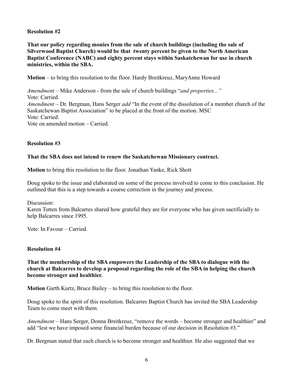#### **Resolution #2**

**That our policy regarding monies from the sale of church buildings (including the sale of Silverwood Baptist Church) would be that twenty percent be given to the North American Baptist Conference (NABC) and eighty percent stays within Saskatchewan for use in church ministries, within the SBA.**

**Motion** – to bring this resolution to the floor. Hardy Breitkreuz, MaryAnne Howard

*Amendment* – Mike Anderson - from the sale of church buildings "*and properties..."* Vote: Carried. *Amendment –* Dr. Bergman, Hans Serger *add* "In the event of the dissolution of a member church of the Saskatchewan Baptist Association" to be placed at the front of the motion. MSC Vote: Carried. Vote on amended motion – Carried.

#### **Resolution #3**

#### **That the SBA does not intend to renew the Saskatchewan Missionary contract.**

**Motion** to bring this resolution to the floor. Jonathan Yanke, Rick Shott

Doug spoke to the issue and elaborated on some of the process involved to come to this conclusion. He outlined that this is a step towards a course correction in the journey and process.

Discussion:

Karen Totten from Balcarres shared how grateful they are for everyone who has given sacrificially to help Balcarres since 1995.

Vote: In Favour – Carried.

#### **Resolution #4**

#### **That the membership of the SBA empowers the Leadership of the SBA to dialogue with the church at Balcarres to develop a proposal regarding the role of the SBA in helping the church become stronger and healthier.**

**Motion** Garth Kurtz, Bruce Bailey – to bring this resolution to the floor.

Doug spoke to the spirit of this resolution. Balcarres Baptist Church has invited the SBA Leadership Team to come meet with them.

*Amendment* – Hans Serger, Donna Breitkreuz, "remove the words – become stronger and healthier" and add "lest we have imposed some financial burden because of our decision in Resolution #3."

Dr. Bergman stated that each church is to become stronger and healthier. He also suggested that we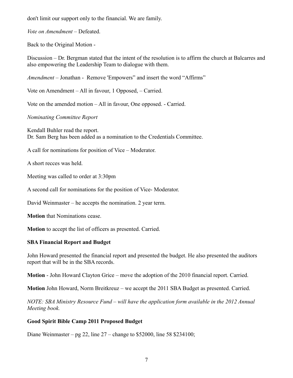don't limit our support only to the financial. We are family.

*Vote on Amendment* – Defeated.

Back to the Original Motion -

Discussion – Dr. Bergman stated that the intent of the resolution is to affirm the church at Balcarres and also empowering the Leadership Team to dialogue with them.

*Amendment* – Jonathan - Remove 'Empowers" and insert the word "Affirms"

Vote on Amendment – All in favour, 1 Opposed, – Carried.

Vote on the amended motion – All in favour, One opposed. - Carried.

*Nominating Committee Report*

Kendall Buhler read the report. Dr. Sam Berg has been added as a nomination to the Credentials Committee.

A call for nominations for position of Vice – Moderator.

A short recces was held.

Meeting was called to order at 3:30pm

A second call for nominations for the position of Vice- Moderator.

David Weinmaster – he accepts the nomination. 2 year term.

**Motion** that Nominations cease.

**Motion** to accept the list of officers as presented. Carried.

#### **SBA Financial Report and Budget**

John Howard presented the financial report and presented the budget. He also presented the auditors report that will be in the SBA records.

**Motion** - John Howard Clayton Grice – move the adoption of the 2010 financial report. Carried.

**Motion** John Howard, Norm Breitkreuz – we accept the 2011 SBA Budget as presented. Carried.

*NOTE: SBA Ministry Resource Fund – will have the application form available in the 2012 Annual Meeting book.*

#### **Good Spirit Bible Camp 2011 Proposed Budget**

Diane Weinmaster – pg 22, line  $27$  – change to \$52000, line 58 \$234100;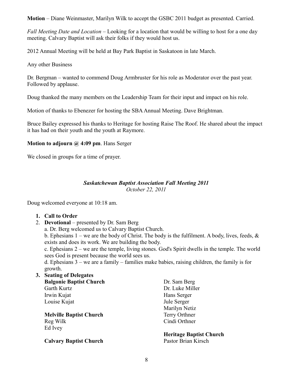**Motion** – Diane Weinmaster, Marilyn Wilk to accept the GSBC 2011 budget as presented. Carried.

*Fall Meeting Date and Location* – Looking for a location that would be willing to host for a one day meeting. Calvary Baptist will ask their folks if they would host us.

2012 Annual Meeting will be held at Bay Park Baptist in Saskatoon in late March.

Any other Business

Dr. Bergman – wanted to commend Doug Armbruster for his role as Moderator over the past year. Followed by applause.

Doug thanked the many members on the Leadership Team for their input and impact on his role.

Motion of thanks to Ebenezer for hosting the SBA Annual Meeting. Dave Brightman.

Bruce Bailey expressed his thanks to Heritage for hosting Raise The Roof. He shared about the impact it has had on their youth and the youth at Raymore.

**Motion to adjourn @ 4:09 pm**. Hans Serger

We closed in groups for a time of prayer.

#### *Saskatchewan Baptist Association Fall Meeting 2011 October 22, 2011*

Doug welcomed everyone at 10:18 am.

- **1. Call to Order**
- 2. **Devotional** presented by Dr. Sam Berg
	- a. Dr. Berg welcomed us to Calvary Baptist Church.

b. Ephesians  $1 - we$  are the body of Christ. The body is the fulfilment. A body, lives, feeds,  $\&$ exists and does its work. We are building the body.

c. Ephesians 2 – we are the temple, living stones. God's Spirit dwells in the temple. The world sees God is present because the world sees us.

d. Ephesians 3 – we are a family – families make babies, raising children, the family is for growth.

**3. Seating of Delegates Balgonie Baptist Church** Garth Kurtz Irwin Kujat Louise Kujat

> **Melville Baptist Church** Reg Wilk Ed Ivey

**Calvary Baptist Church**

Dr. Sam Berg Dr. Luke Miller Hans Serger Jule Serger Marilyn Netiz Terry Orthner Cindi Orthner

**Heritage Baptist Church** Pastor Brian Kirsch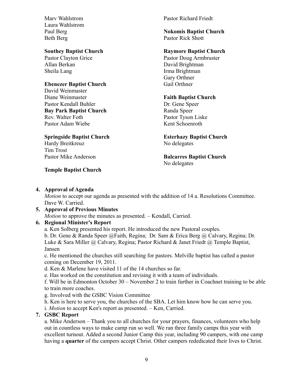Marv Wahlstrom Laura Wahlstrom Paul Berg Beth Berg

#### **Southey Baptist Church**

Pastor Clayton Grice Allan Berkan Sheila Lang

#### **Ebenezer Baptist Church**

David Weinmaster Diane Weinmaster Pastor Kendall Buhler **Bay Park Baptist Church** Rev. Walter Foth Pastor Adam Wiebe

#### **Springside Baptist Church**

Hardy Breitkreuz Tim Trost Pastor Mike Anderson

#### **Temple Baptist Church**

Pastor Richard Friedt

**Nokomis Baptist Church** Pastor Rick Shott

#### **Raymore Baptist Church**

Pastor Doug Armbruster David Brightman Irma Brightman Gary Orthner Gail Orthner

#### **Faith Baptist Church**

Dr. Gene Speer Randa Speer Pastor Tyson Liske Kent Schoenroth

**Esterhazy Baptist Church**  No delegates

**Balcarres Baptist Church** No delegates

**4. Approval of Agenda**

*Motion* to accept our agenda as presented with the addition of 14 a. Resolutions Committee. Dave W. Carried.

#### **5. Approval of Previous Minutes**

*Motion* to approve the minutes as presented. – Kendall, Carried.

#### **6. Regional Minister's Report**

a. Ken Solberg presented his report. He introduced the new Pastoral couples.

b. Dr. Gene & Randa Speer @Faith, Regina; Dr. Sam & Erica Berg @ Calvary, Regina; Dr. Luke & Sara Miller @ Calvary, Regina; Pastor Richard & Janet Friedt @ Temple Baptist, Jansen

c. He mentioned the churches still searching for pastors. Melville baptist has called a pastor coming on December 19, 2011.

- d. Ken & Marlene have visited 11 of the 14 churches so far.
- e. Has worked on the constitution and revising it with a team of individuals.

f. Will be in Edmonton October 30 – November 2 to train further in Coachnet training to be able to train more coaches.

g. Involved with the GSBC Vision Committee

h. Ken is here to serve you, the churches of the SBA. Let him know how he can serve you.

i. *Motion* to accept Ken's report as presented. – Ken, Carried.

#### **7. GSBC Report**

a. Mike Anderson – Thank you to all churches for your prayers, finances, volunteers who help out in countless ways to make camp run so well. We ran three family camps this year with excellent turnout. Added a second Junior Camp this year, including 90 campers, with one camp having a **quarter** of the campers accept Christ. Other campers rededicated their lives to Christ.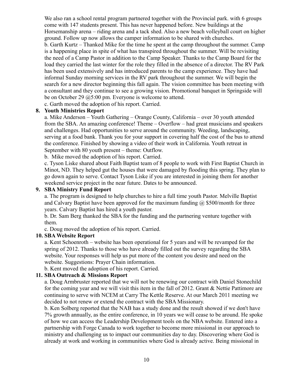We also ran a school rental program partnered together with the Provincial park. with 6 groups come with 147 students present. This has never happened before. New buildings at the Horsemanship arena – riding arena and a tack shed. Also a new beach volleyball court on higher ground. Follow up now allows the camper information to be shared with churches. b. Garth Kurtz – Thanked Mike for the time he spent at the camp throughout the summer. Camp

is a happening place in spite of what has transpired throughout the summer. Will be revisiting the need of a Camp Pastor in addition to the Camp Speaker. Thanks to the Camp Board for the load they carried the last winter for the role they filled in the absence of a director. The RV Park has been used extensively and has introduced parents to the camp experience. They have had informal Sunday morning services in the RV park throughout the summer. We will begin the search for a new director beginning this fall again. The vision committee has been meeting with a consultant and they continue to see a growing vision. Promotional banquet in Springside will be on October 29 @5:00 pm. Everyone is welcome to attend.

c. Garth moved the adoption of his report. Carried.

#### **8. Youth Ministries Report**

a. Mike Anderson – Youth Gathering – Orange County, California – over 30 youth attended from the SBA. An amazing conference! Theme – Overflow – had great musicians and speakers and challenges. Had opportunities to serve around the community. Weeding, landscaping, serving at a food bank. Thank you for your support in covering half the cost of the bus to attend the conference. Finished by showing a video of their work in California. Youth retreat in September with 80 youth present – theme: Outflow.

b. Mike moved the adoption of his report. Carried.

c. Tyson Liske shared about Faith Baptist team of 8 people to work with First Baptist Church in Minot, ND. They helped gut the houses that were damaged by flooding this spring. They plan to go down again to serve. Contact Tyson Liske if you are interested in joining them for another weekend service project in the near future. Dates to be announced.

#### **9. SBA Ministry Fund Report**

a. The program is designed to help churches to hire a full time youth Pastor. Melville Baptist and Calvary Baptist have been approved for the maximum funding  $\omega$  \$500/month for three years. Calvary Baptist has hired a youth pastor.

b. Dr. Sam Berg thanked the SBA for the funding and the partnering venture together with them.

c. Doug moved the adoption of his report. Carried.

#### **10. SBA Website Report**

a. Kent Schoenroth – website has been operational for 5 years and will be revamped for the spring of 2012. Thanks to those who have already filled out the survey regarding the SBA website. Your responses will help us put more of the content you desire and need on the website. Suggestions: Prayer Chain information.

b. Kent moved the adoption of his report. Carried.

#### **11. SBA Outreach & Missions Report**

a. Doug Armbruster reported that we will not be renewing our contract with Daniel Stonechild for the coming year and we will visit this item in the fall of 2012. Grant  $\&$  Nettie Pattimore are continuing to serve with NCEM at Carry The Kettle Reserve. At our March 2011 meeting we decided to not renew or extend the contract with the SBA Missionary.

b. Ken Solberg reported that the NAB has a study done and the result showed if we don't have 7% growth annually, as the entire conference, in 10 years we will cease to be around. He spoke of how we can access the Leadership Development tools on the NBA website. Entered into a partnership with Forge Canada to work together to become more missional in our approach to ministry and challenging us to impact our communities day to day. Discovering where God is already at work and working in communities where God is already active. Being missional in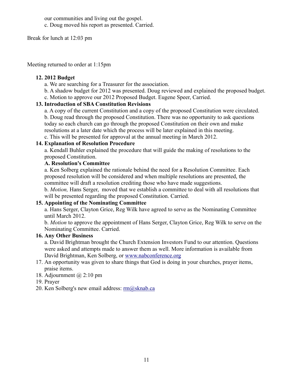our communities and living out the gospel. c. Doug moved his report as presented. Carried.

Break for lunch at 12:03 pm

Meeting returned to order at 1:15pm

#### **12. 2012 Budget**

- a. We are searching for a Treasurer for the association.
- b. A shadow budget for 2012 was presented. Doug reviewed and explained the proposed budget. c. Motion to approve our 2012 Proposed Budget. Eugene Speer, Carried.

#### **13. Introduction of SBA Constitution Revisions**

a. A copy of the current Constitution and a copy of the proposed Constitution were circulated. b. Doug read through the proposed Constitution. There was no opportunity to ask questions today so each church can go through the proposed Constitution on their own and make resolutions at a later date which the process will be later explained in this meeting.

c. This will be presented for approval at the annual meeting in March 2012.

#### **14. Explanation of Resolution Procedure**

a. Kendall Buhler explained the procedure that will guide the making of resolutions to the proposed Constitution.

#### **A. Resolution's Committee**

a. Ken Solberg explained the rationale behind the need for a Resolution Committee. Each proposed resolution will be considered and when multiple resolutions are presented, the committee will draft a resolution crediting those who have made suggestions.

b. *Motion,* Hans Serger, moved that we establish a committee to deal with all resolutions that will be presented regarding the proposed Constitution. Carried.

#### **15. Appointing of the Nominating Committee**

a. Hans Serger, Clayton Grice, Reg Wilk have agreed to serve as the Nominating Committee until March 2012.

b. *Motion* to approve the appointment of Hans Serger, Clayton Grice, Reg Wilk to serve on the Nominating Committee. Carried.

#### **16. Any Other Business**

a. David Brightman brought the Church Extension Investors Fund to our attention. Questions were asked and attempts made to answer them as well. More information is available from David Brightman, Ken Solberg, or [www.nabconference.org](http://www.nabconference.org/)

- 17. An opportunity was given to share things that God is doing in your churches, prayer items, praise items.
- 18. Adjournment  $\omega$  2:10 pm
- 19. Prayer
- 20. Ken Solberg's new email address: [rm@sknab.ca](mailto:rm@sknab.ca)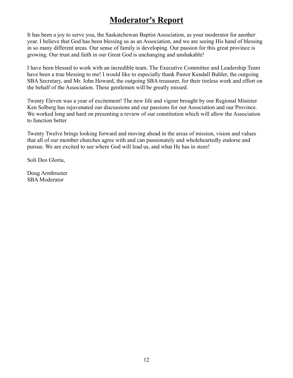## **Moderator's Report**

It has been a joy to serve you, the Saskatchewan Baptist Association, as your moderator for another year. I believe that God has been blessing us as an Association, and we are seeing His hand of blessing in so many different areas. Our sense of family is developing. Our passion for this great province is growing. Our trust and faith in our Great God is unchanging and unshakable!

I have been blessed to work with an incredible team. The Executive Committee and Leadership Team have been a true blessing to me! I would like to especially thank Pastor Kendall Buhler, the outgoing SBA Secretary, and Mr. John Howard, the outgoing SBA treasurer, for their tireless work and effort on the behalf of the Association. These gentlemen will be greatly missed.

Twenty Eleven was a year of excitement! The new life and vigour brought by our Regional Minister Ken Solberg has rejuvenated our discussions and our passions for our Association and our Province. We worked long and hard on presenting a review of our constitution which will allow the Association to function better

Twenty Twelve brings looking forward and moving ahead in the areas of mission, vision and values that all of our member churches agree with and can passionately and wholeheartedly endorse and pursue. We are excited to see where God will lead us, and what He has in store!

Soli Deo Gloria,

Doug Armbruster SBA Moderator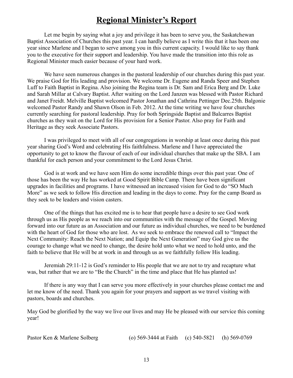## **Regional Minister's Report**

Let me begin by saying what a joy and privilege it has been to serve you, the Saskatchewan Baptist Association of Churches this past year. I can hardly believe as I write this that it has been one year since Marlene and I began to serve among you in this current capacity. I would like to say thank you to the executive for their support and leadership. You have made the transition into this role as Regional Minister much easier because of your hard work.

We have seen numerous changes in the pastoral leadership of our churches during this past year. We praise God for His leading and provision. We welcome Dr. Eugene and Randa Speer and Stephen Luff to Faith Baptist in Regina. Also joining the Regina team is Dr. Sam and Erica Berg and Dr. Luke and Sarah Millar at Calvary Baptist. After waiting on the Lord Janzen was blessed with Pastor Richard and Janet Freidt. Melville Baptist welcomed Pastor Jonathan and Cathrina Pettinger Dec.25th. Balgonie welcomed Pastor Randy and Shawn Olson in Feb. 2012. At the time writing we have four churches currently searching for pastoral leadership. Pray for both Springside Baptist and Balcarres Baptist churches as they wait on the Lord for His provision for a Senior Pastor. Also pray for Faith and Heritage as they seek Associate Pastors.

I was privileged to meet with all of our congregations in worship at least once during this past year sharing God's Word and celebrating His faithfulness. Marlene and I have appreciated the opportunity to get to know the flavour of each of our individual churches that make up the SBA. I am thankful for each person and your commitment to the Lord Jesus Christ.

God is at work and we have seen Him do some incredible things over this past year. One of those has been the way He has worked at Good Spirit Bible Camp. There have been significant upgrades in facilities and programs. I have witnessed an increased vision for God to do "SO Much More" as we seek to follow His direction and leading in the days to come. Pray for the camp Board as they seek to be leaders and vision casters.

One of the things that has excited me is to hear that people have a desire to see God work through us as His people as we reach into our communities with the message of the Gospel. Moving forward into our future as an Association and our future as individual churches, we need to be burdened with the heart of God for those who are lost. As we seek to embrace the renewed call to "Impact the Next Community: Reach the Next Nation; and Equip the Next Generation" may God give us the courage to change what we need to change, the desire hold unto what we need to hold unto, and the faith to believe that He will be at work in and through us as we faithfully follow His leading.

Jeremiah 29:11-12 is God's reminder to His people that we are not to try and recapture what was, but rather that we are to "Be the Church" in the time and place that He has planted us!

If there is any way that I can serve you more effectively in your churches please contact me and let me know of the need. Thank you again for your prayers and support as we travel visiting with pastors, boards and churches.

May God be glorified by the way we live our lives and may He be pleased with our service this coming year!

Pastor Ken & Marlene Solberg (o) 569-3444 at Faith (c) 540-5821 (h) 569-0769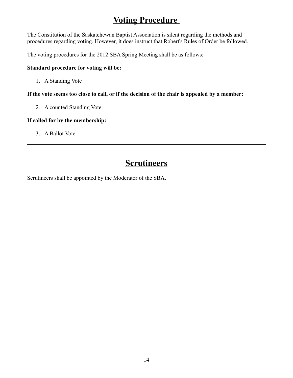## **Voting Procedure**

The Constitution of the Saskatchewan Baptist Association is silent regarding the methods and procedures regarding voting. However, it does instruct that Robert's Rules of Order be followed.

The voting procedures for the 2012 SBA Spring Meeting shall be as follows:

#### **Standard procedure for voting will be:**

1. A Standing Vote

**If the vote seems too close to call, or if the decision of the chair is appealed by a member:**

2. A counted Standing Vote

#### **If called for by the membership:**

3. A Ballot Vote

## **Scrutineers**

Scrutineers shall be appointed by the Moderator of the SBA.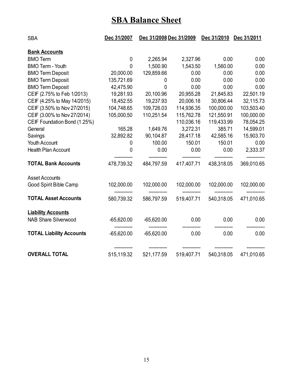## **SBA Balance Sheet**

| <b>SBA</b>                      | Dec 31/2007  | Dec 31/2008 Dec 31/2009 |            | Dec 31/2010 | Dec 31/2011 |
|---------------------------------|--------------|-------------------------|------------|-------------|-------------|
| <b>Bank Accounts</b>            |              |                         |            |             |             |
| <b>BMO</b> Term                 | $\mathbf 0$  | 2,265.94                | 2,327.96   | 0.00        | 0.00        |
| <b>BMO Term - Youth</b>         | 0            | 1,500.90                | 1,543.50   | 1,560.00    | 0.00        |
| <b>BMO Term Deposit</b>         | 20,000.00    | 129,859.66              | 0.00       | 0.00        | 0.00        |
| <b>BMO Term Deposit</b>         | 135,721.69   | 0                       | 0.00       | 0.00        | 0.00        |
| <b>BMO Term Deposit</b>         | 42,475.90    | 0                       | 0.00       | 0.00        | 0.00        |
| CEIF (2.75% to Feb 1/2013)      | 19,281.93    | 20,100.96               | 20,955.28  | 21,845.83   | 22,501.19   |
| CEIF (4.25% to May 14/2015)     | 18,452.55    | 19,237.93               | 20,006.18  | 30,806.44   | 32,115.73   |
| CEIF (3.50% to Nov 27/2015)     | 104,748.65   | 109,726.03              | 114,936.35 | 100,000.00  | 103,503.40  |
| CEIF (3.00% to Nov 27/2014)     | 105,000.50   | 110,251.54              | 115,762.78 | 121,550.91  | 100,000.00  |
| CEIF Foundation Bond (1.25%)    |              |                         | 110,036.16 | 119,433.99  | 78,054.25   |
| General                         | 165.28       | 1,649.76                | 3,272.31   | 385.71      | 14,599.01   |
| Savings                         | 32,892.82    | 90,104.87               | 28,417.18  | 42,585.16   | 15,903.70   |
| <b>Youth Account</b>            | 0            | 100.00                  | 150.01     | 150.01      | 0.00        |
| <b>Health Plan Account</b>      | 0            | 0.00                    | 0.00       | 0.00        | 2,333.37    |
| <b>TOTAL Bank Accounts</b>      | 478,739.32   | 484,797.59              | 417,407.71 | 438,318.05  | 369,010.65  |
| <b>Asset Accounts</b>           |              |                         |            |             |             |
| Good Spirit Bible Camp          | 102,000.00   | 102,000.00              | 102,000.00 | 102,000.00  | 102,000.00  |
| <b>TOTAL Asset Accounts</b>     | 580,739.32   | 586,797.59              | 519,407.71 | 540,318.05  | 471,010.65  |
| <b>Liability Accounts</b>       |              |                         |            |             |             |
| <b>NAB Share Silverwood</b>     | $-65,620.00$ | $-65,620.00$            | 0.00       | 0.00        | 0.00        |
| <b>TOTAL Liability Accounts</b> | $-65,620.00$ | $-65,620.00$            | 0.00       | 0.00        | 0.00        |
| <b>OVERALL TOTAL</b>            | 515,119.32   | 521,177.59              | 519,407.71 | 540,318.05  | 471,010.65  |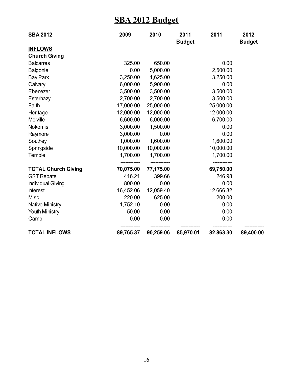## **SBA 2012 Budget**

| <b>SBA 2012</b>            | 2009      | 2010      | 2011<br><b>Budget</b> | 2011      | 2012<br><b>Budget</b> |
|----------------------------|-----------|-----------|-----------------------|-----------|-----------------------|
| <b>INFLOWS</b>             |           |           |                       |           |                       |
| <b>Church Giving</b>       |           |           |                       |           |                       |
| <b>Balcarres</b>           | 325.00    | 650.00    |                       | 0.00      |                       |
| <b>Balgonie</b>            | 0.00      | 5,000.00  |                       | 2,500.00  |                       |
| <b>Bay Park</b>            | 3,250.00  | 1,625.00  |                       | 3,250.00  |                       |
| Calvary                    | 6,000.00  | 5,900.00  |                       | 0.00      |                       |
| Ebenezer                   | 3,500.00  | 3,500.00  |                       | 3,500.00  |                       |
| Esterhazy                  | 2,700.00  | 2,700.00  |                       | 3,500.00  |                       |
| Faith                      | 17,000.00 | 25,000.00 |                       | 25,000.00 |                       |
| Heritage                   | 12,000.00 | 12,000.00 |                       | 12,000.00 |                       |
| Melville                   | 6,600.00  | 6,000.00  |                       | 6,700.00  |                       |
| <b>Nokomis</b>             | 3,000.00  | 1,500.00  |                       | 0.00      |                       |
| Raymore                    | 3,000.00  | 0.00      |                       | 0.00      |                       |
| Southey                    | 1,000.00  | 1,600.00  |                       | 1,600.00  |                       |
| Springside                 | 10,000.00 | 10,000.00 |                       | 10,000.00 |                       |
| Temple                     | 1,700.00  | 1,700.00  |                       | 1,700.00  |                       |
| <b>TOTAL Church Giving</b> | 70,075.00 | 77,175.00 |                       | 69,750.00 |                       |
| <b>GST Rebate</b>          | 416.21    | 399.66    |                       | 246.98    |                       |
| <b>Individual Giving</b>   | 800.00    | 0.00      |                       | 0.00      |                       |
| <b>Interest</b>            | 16,452.06 | 12,059.40 |                       | 12,666.32 |                       |
| <b>Misc</b>                | 220.00    | 625.00    |                       | 200.00    |                       |
| <b>Native Ministry</b>     | 1,752.10  | 0.00      |                       | 0.00      |                       |
| <b>Youth Ministry</b>      | 50.00     | 0.00      |                       | 0.00      |                       |
| Camp                       | 0.00      | 0.00      |                       | 0.00      |                       |
| <b>TOTAL INFLOWS</b>       | 89,765.37 | 90,259.06 | 85,970.01             | 82,863.30 | 89,400.00             |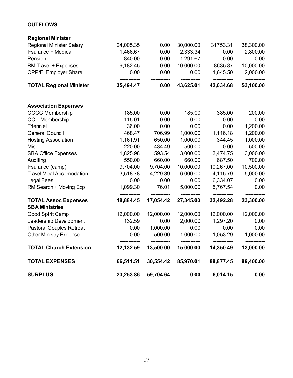#### **OUTFLOWS**

| <b>SURPLUS</b>                                       | 23,253.86        | 59,704.64    | 0.00           | $-6,014.15$    | 0.00             |
|------------------------------------------------------|------------------|--------------|----------------|----------------|------------------|
| <b>TOTAL EXPENSES</b>                                | 66,511.51        | 30,554.42    | 85,970.01      | 88,877.45      | 89,400.00        |
| <b>TOTAL Church Extension</b>                        | 12,132.59        | 13,500.00    | 15,000.00      | 14,350.49      | 13,000.00        |
| <b>Other Ministry Expense</b>                        | 0.00             | 500.00       | 1,000.00       | 1,053.29       | 1,000.00         |
| <b>Pastoral Couples Retreat</b>                      | 0.00             | 1,000.00     | 0.00           | 0.00           | 0.00             |
| Leadership Development                               | 132.59           | 0.00         | 2,000.00       | 1,297.20       | 0.00             |
| Good Spirit Camp                                     | 12,000.00        | 12,000.00    | 12,000.00      | 12,000.00      | 12,000.00        |
| <b>TOTAL Assoc Expenses</b><br><b>SBA Ministries</b> | 18,884.45        | 17,054.42    | 27,345.00      | 32,492.28      | 23,300.00        |
|                                                      |                  |              |                |                |                  |
| RM Search + Moving Exp                               | 1,099.30         | 76.01        | 5,000.00       | 5,767.54       | 0.00             |
| <b>Legal Fees</b>                                    | 0.00             | 0.00         | 0.00           | 6,334.07       | 0.00             |
| <b>Travel Meal Accomodation</b>                      | 3,518.78         | 4,229.39     | 6,000.00       | 4,115.79       | 5,000.00         |
| Insurance (camp)                                     | 9,704.00         | 9,704.00     | 10,000.00      | 10,267.00      | 10,500.00        |
| Auditing                                             | 550.00           | 660.00       | 660.00         | 687.50         | 700.00           |
| <b>SBA Office Expenses</b>                           | 1,825.98         | 593.54       | 3,000.00       | 3,474.75       | 3,000.00         |
| <b>Misc</b>                                          | 220.00           | 434.49       | 500.00         | 0.00           | 500.00           |
| <b>Hosting Association</b>                           | 1,161.91         | 650.00       | 1,000.00       | 344.45         | 1,000.00         |
| <b>General Council</b>                               | 468.47           | 706.99       | 1,000.00       | 1,116.18       | 1,200.00         |
| <b>CCLI Membership</b><br>Trienniel                  | 36.00            | 0.00         | 0.00           | 0.00           | 0.00<br>1,200.00 |
| <b>CCCC Membership</b>                               | 185.00<br>115.01 | 0.00<br>0.00 | 185.00<br>0.00 | 385.00<br>0.00 | 200.00           |
| <b>Association Expenses</b>                          |                  |              |                |                |                  |
| <b>TOTAL Regional Minister</b>                       | 35,494.47        | 0.00         | 43,625.01      | 42,034.68      | 53,100.00        |
| <b>CPP/EI Employer Share</b>                         | 0.00             | 0.00         | 0.00           | 1,645.50       | 2,000.00         |
| RM Travel + Expenses                                 | 9,182.45         | 0.00         | 10,000.00      | 8635.87        | 10,000.00        |
| Pension                                              | 840.00           | 0.00         | 1,291.67       | 0.00           | 0.00             |
| Insurance + Medical                                  | 1,466.67         | 0.00         | 2,333.34       | 0.00           | 2,800.00         |
| <b>Regional Minister Salary</b>                      | 24,005.35        | 0.00         | 30,000.00      | 31753.31       | 38,300.00        |
| <b>Regional Minister</b>                             |                  |              |                |                |                  |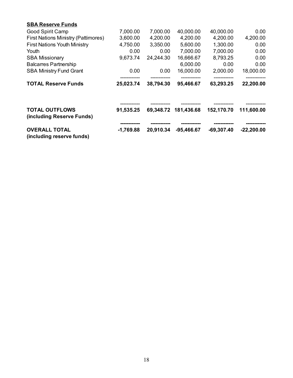### **SBA Reserve Funds**

| Good Spirit Camp                                   | 7,000.00    | 7,000.00  | 40,000.00    | 40,000.00    | 0.00         |
|----------------------------------------------------|-------------|-----------|--------------|--------------|--------------|
| <b>First Nations Ministry (Pattimores)</b>         | 3,600.00    | 4,200.00  | 4,200.00     | 4,200.00     | 4,200.00     |
| <b>First Nations Youth Ministry</b>                | 4,750.00    | 3,350.00  | 5,600.00     | 1,300.00     | 0.00         |
| Youth                                              | 0.00        | 0.00      | 7,000.00     | 7,000.00     | 0.00         |
| <b>SBA Missionary</b>                              | 9,673.74    | 24,244.30 | 16,666.67    | 8,793.25     | 0.00         |
| <b>Balcarres Partnership</b>                       |             |           | 6,000.00     | 0.00         | 0.00         |
| <b>SBA Ministry Fund Grant</b>                     | 0.00        | 0.00      | 16,000.00    | 2,000.00     | 18,000.00    |
| <b>TOTAL Reserve Funds</b>                         | 25,023.74   | 38,794.30 | 95,466.67    | 63,293.25    | 22,200.00    |
| <b>TOTAL OUTFLOWS</b><br>(including Reserve Funds) | 91,535.25   | 69,348.72 | 181,436.68   | 152,170.70   | 111,600.00   |
| <b>OVERALL TOTAL</b><br>(including reserve funds)  | $-1,769.88$ | 20,910.34 | $-95,466.67$ | $-69,307.40$ | $-22,200.00$ |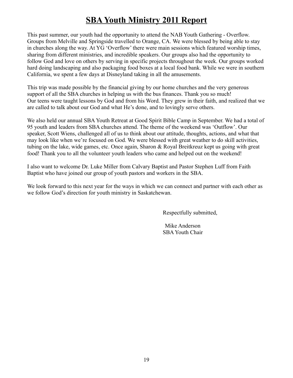## **SBA Youth Ministry 2011 Report**

This past summer, our youth had the opportunity to attend the NAB Youth Gathering - Overflow. Groups from Melville and Springside travelled to Orange, CA. We were blessed by being able to stay in churches along the way. At YG 'Overflow' there were main sessions which featured worship times, sharing from different ministries, and incredible speakers. Our groups also had the opportunity to follow God and love on others by serving in specific projects throughout the week. Our groups worked hard doing landscaping and also packaging food boxes at a local food bank. While we were in southern California, we spent a few days at Disneyland taking in all the amusements.

This trip was made possible by the financial giving by our home churches and the very generous support of all the SBA churches in helping us with the bus finances. Thank you so much! Our teens were taught lessons by God and from his Word. They grew in their faith, and realized that we are called to talk about our God and what He's done, and to lovingly serve others.

We also held our annual SBA Youth Retreat at Good Spirit Bible Camp in September. We had a total of 95 youth and leaders from SBA churches attend. The theme of the weekend was 'Outflow'. Our speaker, Scott Wiens, challenged all of us to think about our attitude, thoughts, actions, and what that may look like when we're focused on God. We were blessed with great weather to do skill activities, tubing on the lake, wide games, etc. Once again, Sharon & Royal Breitkreuz kept us going with great food! Thank you to all the volunteer youth leaders who came and helped out on the weekend!

I also want to welcome Dr. Luke Miller from Calvary Baptist and Pastor Stephen Luff from Faith Baptist who have joined our group of youth pastors and workers in the SBA.

We look forward to this next year for the ways in which we can connect and partner with each other as we follow God's direction for youth ministry in Saskatchewan.

Respectfully submitted,

Mike Anderson SBA Youth Chair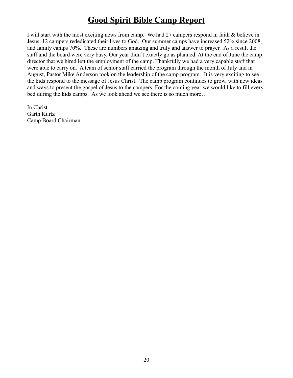## **Good Spirit Bible Camp Report**

I will start with the most exciting news from camp. We had 27 campers respond in faith & believe in Jesus. 12 campers rededicated their lives to God. Our summer camps have increased 52% since 2008, and family camps 70%. These are numbers amazing and truly and answer to prayer. As a result the staff and the board were very busy. Our year didn't exactly go as planned. At the end of June the camp director that we hired left the employment of the camp. Thankfully we had a very capable staff that were able to carry on. A team of senior staff carried the program through the month of July and in August, Pastor Mike Anderson took on the leadership of the camp program. It is very exciting to see the kids respond to the message of Jesus Christ. The camp program continues to grow, with new ideas and ways to present the gospel of Jesus to the campers. For the coming year we would like to fill every bed during the kids camps. As we look ahead we see there is so much more…

In Christ Garth Kurtz Camp Board Chairman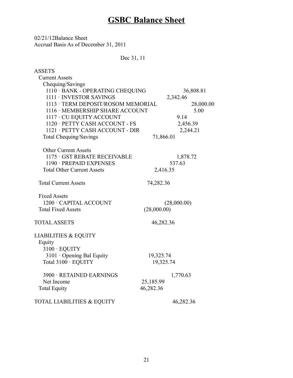## **GSBC Balance Sheet**

 02/21/12Balance Sheet Accrual Basis As of December 31, 2011

#### Dec 31, 11

| <b>ASSETS</b>                         |             |             |
|---------------------------------------|-------------|-------------|
| <b>Current Assets</b>                 |             |             |
| Chequing/Savings                      |             |             |
| 1110 · BANK - OPERATING CHEQUING      |             | 36,808.81   |
| 1111 · INVESTOR SAVINGS               |             | 2,342.46    |
| 1113 · TERM DEPOSIT/ROSOM MEMORIAL    |             | 28,000.00   |
| 1116 · MEMBERSHIP SHARE ACCOUNT       |             | 5.00        |
| 1117 · CU EQUITY ACCOUNT              |             | 9.14        |
| 1120 · PETTY CASH ACCOUNT - FS        |             | 2,456.39    |
| 1121 · PETTY CASH ACCOUNT - DIR       |             | 2,244.21    |
| <b>Total Chequing/Savings</b>         | 71,866.01   |             |
| <b>Other Current Assets</b>           |             |             |
| 1175 GST REBATE RECEIVABLE            |             | 1,878.72    |
| 1190 · PREPAID EXPENSES               |             | 537.63      |
| <b>Total Other Current Assets</b>     | 2,416.35    |             |
| <b>Total Current Assets</b>           | 74,282.36   |             |
| <b>Fixed Assets</b>                   |             |             |
| 1200 · CAPITAL ACCOUNT                |             | (28,000.00) |
| <b>Total Fixed Assets</b>             | (28,000.00) |             |
| <b>TOTAL ASSETS</b>                   | 46,282.36   |             |
| <b>LIABILITIES &amp; EQUITY</b>       |             |             |
| Equity                                |             |             |
| 3100 · EQUITY                         |             |             |
| 3101 Opening Bal Equity               | 19,325.74   |             |
| Total 3100 · EQUITY                   | 19,325.74   |             |
| 3900 · RETAINED EARNINGS              |             | 1,770.63    |
| Net Income                            | 25,185.99   |             |
| <b>Total Equity</b>                   | 46,282.36   |             |
| <b>TOTAL LIABILITIES &amp; EQUITY</b> |             | 46,282.36   |
|                                       |             |             |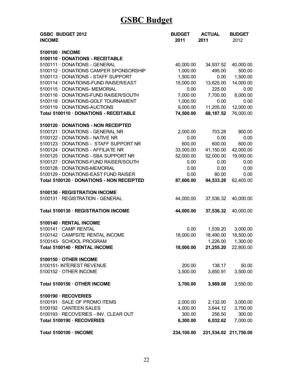## **GSBC Budget**

| <b>GSBC BUDGET 2012</b><br><b>INCOME</b>  | <b>BUDGET</b><br>2011 | <b>ACTUAL</b><br>2011 | <b>BUDGET</b><br>2012 |
|-------------------------------------------|-----------------------|-----------------------|-----------------------|
| 5100100 · INCOME                          |                       |                       |                       |
| 5100110 · DONATIONS - RECEITABLE          |                       |                       |                       |
| 5100111 · DONATIONS - GENERAL             | 40,000.00             | 34,937.52             | 40,000.00             |
| 5100112 · DONATIONS CAMPER SPONSORSHIP    | 1,000.00              | 495.00                | 500.00                |
| 5100113 · DONATIONS - STAFF SUPPORT       | 1,500.00              | 0.00                  | 1,500.00              |
| 5100114 · DONATIOINS-FUND RAISER/EAST     | 15,000.00             | 13,625.00             | 14,000.00             |
| 5100115 · DONATIONS- MEMORIAL             | 0.00                  | 225.00                | 0.00                  |
| 5100116 · DONATIONS-FUND RAISER/SOUTH     | 7,000.00              | 7,700.00              | 8,000.00              |
| 5100118 · DONATIONS-GOLF TOURNAMENT       | 1,000.00              | 0.00                  | 0.00                  |
| 5100119 · DONATIONS-AUCTIONS              | 9,000.00              | 11,205.00             | 12,000.00             |
| Total 5100110 · DONATIONS - RECEITABLE    | 74,500.00             | 68,187.52             | 76,000.00             |
| 5100120 · DONATIONS - NON RECEIPTED       |                       |                       |                       |
| 5100121 · DONATIONS - GENERAL NR          | 2,000.00              | 703.28                | 800.00                |
| 5100122 - DONATIONS - NATIVE NR           | 0.00                  | 0.00                  | 0.00                  |
| 5100123 · DONATIONS - STAFF SUPPORT NR    | 600.00                | 600.00                | 600.00                |
| 5100124 · DONATIONS - AFFILIATE NR        | 33,000.00             | 41,150.00             | 42,000.00             |
| 5100125 · DONATIONS - SBA SUPPORT NR      | 52,000.00             | 52,000.00             | 19,000.00             |
| 5100127 · DONATIONS-FUND RAISER/SOUTH     | 0.00                  | 0.00                  | 0.00                  |
| 5100128 · DONATIONS-MEMORIAL              | 0.00                  | 0.00                  | 0.00                  |
| 5100129 - DONATIONS-EAST FUND RAISER      | 0.00                  | 80.00                 | 0.00                  |
| Total 5100120 · DONATIONS - NON RECEIPTED | 87,600.00             | 94,533.28             | 62,400.00             |
| 5100130 · REGISTRATION INCOME             |                       |                       |                       |
| 5100131 · REGISTRATION - GENERAL          | 44,000.00             | 37,536.32             | 40,000.00             |
| Total 5100130 · REGISTRATION INCOME       | 44,000.00             | 37,536.32             | 40,000.00             |
| 5100140 · RENTAL INCOME                   |                       |                       |                       |
| 5100141 · CAMP RENTAL                     | 0.00                  | 1,539.20              | 3,000.00              |
| 5100142 · CAMPSITE RENTAL INCOME          | 18,000.00             | 18,490.00             | 18,500.00             |
| 5100143- SCHOOL PROGRAM                   |                       | 1,226.00              | 1,300.00              |
| Total 5100140 · RENTAL INCOME             | 18,000.00             |                       | 21,255.20 22,800.00   |
| 5100150 OTHER INCOME                      |                       |                       |                       |
| 5100151- INTEREST REVENUE                 | 200.00                | 138.17                | 50.00                 |
| 5100152 · OTHER INCOME                    | 3,500.00              | 3,850.91              | 3,500.00              |
| Total 5100150 · OTHER INCOME              | 3,700.00              | 3,989.08              | 3,550.00              |
| 5100190 · RECOVERIES                      |                       |                       |                       |
| 5100191 · SALE OF PROMO ITEMS             | 2,000.00              | 2,132.00              | 3,000.00              |
| 5100192 · CANTEEN SALES                   | 4,000.00              | 3,644.12              | 3,700.00              |
| 5100193 · RECOVERIES - INV. CLEAR OUT     | 300.00                | 256.50                | 300.00                |
| Total 5100190 · RECOVERIES                | 6,300.00              | 6,032.62              | 7,000.00              |
| Total 5100100 · INCOME                    | 234,100.00            |                       | 231,534.02 211,750.00 |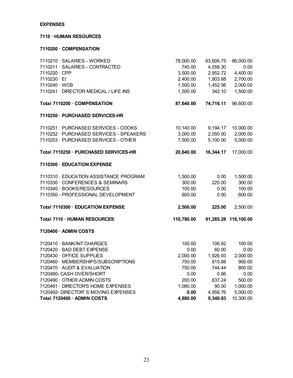#### **EXPENSES**

#### **7110 · HUMAN RESOURCES**

#### **7110200 · COMPENSATION**

| 7110210 · SALARIES - WORKED             | 78,000.00  | 63,606.75 | 86,000.00            |
|-----------------------------------------|------------|-----------|----------------------|
| 7110211 · SALARIES - CONTRACTED         | 740.00     | 4,558.30  | 0.00                 |
| 7110220 · CPP                           | 3,500.00   | 2,952.72  | 4,400.00             |
| 7110230 · EI                            | 2,400.00   | 1,803.68  | 2,700.00             |
| 7110240 · WCB                           | 1,500.00   | 1,452.56  | 2,000.00             |
| 7110241 · DIRECTOR MEDICAL / LIFE INS   | 1,500.00   | 342.10    | 1,500.00             |
| Total 7110200 · COMPENSATION            | 87,640.00  | 74,716.11 | 96,600.00            |
| 7110250 · PURCHASED SERVICES-HR         |            |           |                      |
| 7110251 · PURCHASED SERVICES - COOKS    | 10,140.00  | 9,194.17  | 10,000.00            |
| 7110252 · PURCHASED SERVICES - SPEAKERS | 3,000.00   | 2,050.00  | 2,000.00             |
| 7110253 · PURCHASED SERVICES - OTHER    | 7,500.00   | 5,100.00  | 5,000.00             |
| Total 7110250 · PURCHASED SERVICES-HR   | 20,640.00  | 16,344.17 | 17,000.00            |
| 7110300 · EDUCATION EXPENSE             |            |           |                      |
| 7110310 · EDUCATION ASSISTANCE PROGRAM  | 1,500.00   | 0.00      | 1,500.00             |
| 7110330 · CONFERENCES & SEMINARS        | 300.00     | 225.00    | 300.00               |
| 7110340 · BOOKS/RESOURCES               | 100.00     | 0.00      | 100.00               |
| 7110350 - PROFESSIONAL DEVELOPMENT      | 600.00     | 0.00      | 600.00               |
| Total 7110300 · EDUCATION EXPENSE       | 2,500.00   | 225.00    | 2,500.00             |
| Total 7110 · HUMAN RESOURCES            | 110,780.00 |           | 91,285.28 116,100.00 |
| 7120400 · ADMIN COSTS                   |            |           |                      |
| 7120410 · BANK/INT CHARGES              | 100.00     | 106.92    | 100.00               |
| 7120420 · BAD DEBT EXPENSE              | 0.00       | 60.00     | 0.00                 |
| 7120430 · OFFICE SUPPLIES               | 2,000.00   | 1,926.93  | 2,000.00             |
| 7120460 · MEMBERSHIPS/SUBSCRIPTIONS     | 750.00     | 815.88    | 900.00               |
| 7120470 · AUDIT & EVALUATION            | 750.00     | 744.44    | 800.00               |
| 7120480- CASH OVER/SHORT                | 0.00       | 0.66      | 0.00                 |
| 7120490 · OTHER ADMIN COSTS             | 200.00     | 637.24    | 500.00               |
| 7120491 · DIRECTOR'S HOME EXPENSES      | 1,080.00   | 90.00     | 1,000.00             |
| 7120492- DIRECTOR'S MOVING EXPENSES     | 0.00       | 4,958.76  | 5,000.00             |
| Total 7120400 · ADMIN COSTS             | 4,880.00   | 9,340.83  | 10,300.00            |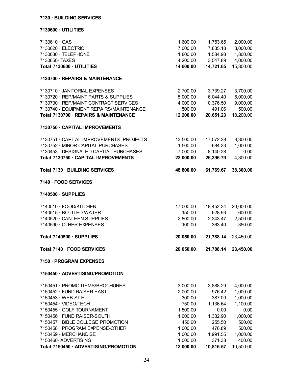#### **7130 · BUILDING SERVICES**

**7130600 · UTILITIES**

| 7130610 · GAS                                                 | 1,600.00              | 1,753.65            | 2,000.00            |
|---------------------------------------------------------------|-----------------------|---------------------|---------------------|
| 7130620 · ELECTRIC                                            | 7,000.00              | 7,835.18            | 8,000.00            |
| 7130630 · TELEPHONE                                           | 1,800.00              | 1,584.93            | 1,800.00            |
| 7130650- TAXES                                                | 4,200.00              | 3,547.89            | 4,000.00            |
| Total 7130600 · UTILITIES                                     | 14,600.00             | 14,721.65           | 15,800.00           |
| 7130700 · REPAIRS & MAINTENANCE                               |                       |                     |                     |
| 7130710 · JANITORIAL EXPENSES                                 | 2,700.00              | 3,739.27            | 3,700.00            |
| 7130720 · REP/MAINT PARTS & SUPPLIES                          | 5,000.00              | 6,044.40            | 5,000.00            |
| 7130730 · REP/MAINT CONTRACT SERVICES                         | 4,000.00              | 10,376.50           | 9,000.00            |
| 7130740 - EQUIPMENT REPAIRS/MAINTENANCE                       | 500.00                | 491.06              | 500.00              |
| Total 7130700 · REPAIRS & MAINTENANCE                         | 12,200.00             | 20,651.23           | 18,200.00           |
| 7130750 · CAPITAL IMPROVEMENTS                                |                       |                     |                     |
| 7130751 · CAPITAL IMPROVEMENTS- PROJECTS                      | 13,500.00             | 17,572.28           | 3,300.00            |
| 7130752 · MINOR CAPITAL PURCHASES                             | 1,500.00              | 684.23              | 1,000.00            |
| 7130453 - DESIGNATED CAPITAL PURCHASES                        | 7,000.00              | 8,140.28            | 0.00                |
| Total 7130750 · CAPITAL IMPROVEMENTS                          | 22,000.00             | 26,396.79           | 4,300.00            |
| Total 7130 · BUILDING SERVICES                                | 48,800.00             | 61,769.67           | 38,300.00           |
| 7140 · FOOD SERVICES                                          |                       |                     |                     |
| 7140500 · SUPPLIES                                            |                       |                     |                     |
| 7140510 · FOOD/KITCHEN                                        | 17,000.00             | 18,452.34           | 20,000.00           |
| 7140515 · BOTTLED WATER                                       | 150.00                | 628.93              | 600.00              |
| 7140520 · CANTEEN SUPPLIES                                    | 2,800.00              | 2,343.47            | 2,500.00            |
| 7140590 OTHER EXPENSES                                        | 100.00                | 363.40              | 350.00              |
| Total 7140500 · SUPPLIES                                      | 20,050.00             | 21,788.14           | 23,450.00           |
| Total 7140 · FOOD SERVICES                                    | 20,050.00             |                     | 21,788.14 23,450.00 |
| 7150 · PROGRAM EXPENSES                                       |                       |                     |                     |
| 7150450 · ADVERTISING/PROMOTION                               |                       |                     |                     |
| 7150451 · PROMO ITEMS/BROCHURES                               | 3,000.00              | 3,888.29            | 4,000.00            |
| 7150452 · FUND RAISER-EAST                                    | 2,000.00              | 976.42              | 1,000.00            |
| 7150453 · WEB SITE                                            | 300.00                | 387.00              | 1,000.00            |
| 7150454 · VIDEO/TECH                                          | 750.00                | 1,136.64            | 1,100.00            |
| 7150455 · GOLF TOURNAMENT                                     | 1,500.00              | 0.00                | 0.00                |
| 7150456 · FUND RAISER-SOUTH                                   | 1,000.00              | 1,332.90            | 1,000.00            |
| 7150457 · BIBLE COLLEGE PROMOTION                             | 450.00                | 255.50              | 500.00              |
| 7150458 · PROGRAM EXPENSE-OTHER                               | 1,000.00              | 476.89              | 500.00              |
| 7150459 - MERCHANDISE                                         | 1,000.00              | 1,991.55            | 1,000.00            |
| 7150460- ADVERTISING<br>Total 7150450 · ADVERTISING/PROMOTION | 1,000.00<br>12,000.00 | 371.38<br>10,816.57 | 400.00<br>10,500.00 |
|                                                               |                       |                     |                     |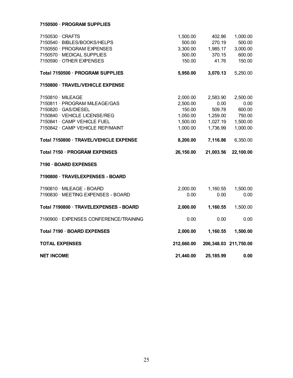#### **7150500 · PROGRAM SUPPLIES**

| 7150530 · CRAFTS                       | 1,500.00         | 402.86           | 1,000.00              |
|----------------------------------------|------------------|------------------|-----------------------|
| 7150540 · BIBLES/BOOKS/HELPS           | 500.00           | 270.19           | 500.00                |
| 7150550 · PROGRAM EXPENSES             | 3,300.00         | 1,985.17         | 3,000.00              |
| 7150570 · MEDICAL SUPPLIES             | 500.00           | 370.15           | 600.00                |
| 7150590 · OTHER EXPENSES               | 150.00           | 41.76            | 150.00                |
| Total 7150500 · PROGRAM SUPPLIES       | 5,950.00         | 3,070.13         | 5,250.00              |
| 7150800 · TRAVEL/VEHICLE EXPENSE       |                  |                  |                       |
| 7150810 · MILEAGE                      | 2,000.00         | 2,583.90         | 2,500.00              |
| 7150811 · PROGRAM MILEAGE/GAS          | 2,500.00         | 0.00             | 0.00                  |
| 7150820 · GAS/DIESEL                   | 150.00           | 509.78           | 600.00                |
| 7150840 · VEHICLE LICENSE/REG          | 1,050.00         | 1,259.00         | 750.00                |
| 7150841 · CAMP VEHICLE FUEL            | 1,500.00         | 1,027.19         | 1,500.00              |
| 7150842 · CAMP VEHICLE REP/MAINT       | 1,000.00         | 1,736.99         | 1,000.00              |
| Total 7150800 · TRAVEL/VEHICLE EXPENSE | 8,200.00         | 7,116.86         | 6,350.00              |
|                                        |                  |                  |                       |
| Total 7150 · PROGRAM EXPENSES          | 26,150.00        | 21,003.56        | 22,100.00             |
| 7190 · BOARD EXPENSES                  |                  |                  |                       |
| 7190800 · TRAVELEXPENSES - BOARD       |                  |                  |                       |
| 7190810 · MILEAGE - BOARD              |                  |                  |                       |
| 7190830 · MEETING EXPENSES - BOARD     | 2,000.00<br>0.00 | 1,160.55<br>0.00 | 1,500.00<br>0.00      |
| Total 7190800 · TRAVELEXPENSES - BOARD | 2,000.00         | 1,160.55         | 1,500.00              |
| 7190900 · EXPENSES CONFERENCE/TRAINING | 0.00             | 0.00             | 0.00                  |
| Total 7190 · BOARD EXPENSES            | 2,000.00         | 1,160.55         | 1,500.00              |
| <b>TOTAL EXPENSES</b>                  | 212,660.00       |                  | 206,348.03 211,750.00 |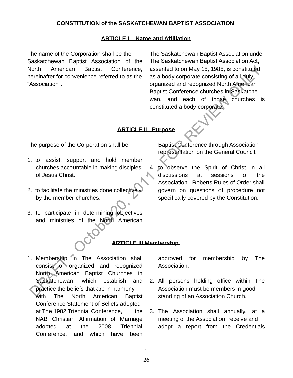#### **CONSTITUTION of the SASKATCHEWAN BAPTIST ASSOCIATION**

#### **ARTICLE I Name and Affiliation**

The name of the Corporation shall be the Saskatchewan Baptist Association of the North American Baptist Conference, hereinafter for convenience referred to as the "Association".

The Saskatchewan Baptist Association under The Saskatchewan Baptist Association Act, assented to on May 15, 1985, is constituted as a body corporate consisting of all duly organized and recognized North American Baptist Conference churches in Saskatchewan, and each of those churches is constituted a body corporate.

#### **ARTICLE II Purpose**

The purpose of the Corporation shall be:

- 1. to assist, support and hold member churches accountable in making disciples of Jesus Christ.
- 2. to facilitate the ministries done collectively by the member churches.
- 3. to participate in determining objectives and ministries of the North American

Baptist Conference through Association representation on the General Council.

4. to observe the Spirit of Christ in all discussions at sessions of the Association. Roberts Rules of Order shall govern on questions of procedure not specifically covered by the Constitution.

#### **ARTICLE III Membership**

1. Membership in The Association shall consist of organized and recognized North American Baptist Churches in Saskatchewan, which establish and practice the beliefs that are in harmony

with The North American Baptist Conference Statement of Beliefs adopted at The 1982 Triennial Conference, the NAB Christian Affirmation of Marriage adopted at the 2008 Triennial Conference, and which have been approved for membership by The Association.

- 2. All persons holding office within The Association must be members in good standing of an Association Church.
- 3. The Association shall annually, at a meeting of the Association, receive and adopt a report from the Credentials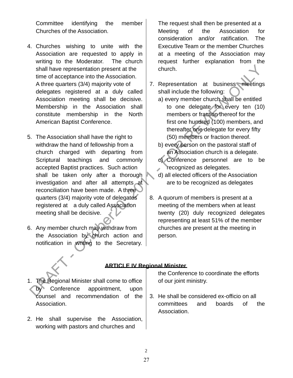Committee identifying the member Churches of the Association.

- 4. Churches wishing to unite with the Association are requested to apply in writing to the Moderator. The church shall have representation present at the time of acceptance into the Association. A three quarters (3/4) majority vote of delegates registered at a duly called Association meeting shall be decisive. Membership in the Association shall constitute membership in the North American Baptist Conference.
- 5. The Association shall have the right to withdraw the hand of fellowship from a church charged with departing from Scriptural teachings and commonly accepted Baptist practices. Such action shall be taken only after a thorough investigation and after all attempts at reconciliation have been made. A three quarters (3/4) majority vote of delegates registered at a duly called Association meeting shall be decisive.
- 6. Any member church may withdraw from the Association by church action and notification in writing to the Secretary.

The request shall then be presented at a Meeting of the Association for consideration and/or ratification. The Executive Team or the member Churches at a meeting of the Association may request further explanation from the church.

- 7. Representation at business meetings shall include the following:
	- a) every member church shall be entitled to one delegate for every ten (10) members or fraction thereof for the first one hundred (100) members, and thereafter one delegate for every fifty (50) members or fraction thereof.
	- b) every person on the pastoral staff of an Association church is a delegate.
	- c) Conference personnel are to be recognized as delegates.
	- d) all elected officers of the Association are to be recognized as delegates
- 8. A quorum of members is present at a meeting of the members when at least twenty (20) duly recognized delegates representing at least 51% of the member churches are present at the meeting in person.

#### **ARTICLE IV Regional Minister**

- 1. The Regional Minister shall come to office by Conference appointment, upon counsel and recommendation of the Association.
- 2. He shall supervise the Association, working with pastors and churches and

the Conference to coordinate the efforts of our joint ministry.

3. He shall be considered ex-officio on all committees and boards of the Association.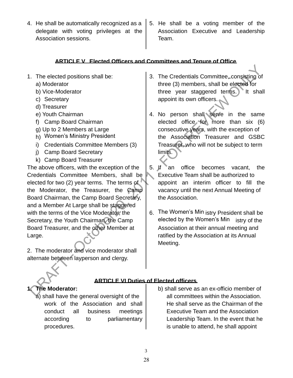- 4. He shall be automatically recognized as a delegate with voting privileges at the Association sessions.
- 5. He shall be a voting member of the Association Executive and Leadership Team.

#### **ARTICLE V Elected Officers and Committees and Tenure of Office**

- 1. The elected positions shall be:
	- a) Moderator
	- b) Vice-Moderator
	- c) Secretary
	- d) Treasurer
	- e) Youth Chairman
	- f) Camp Board Chairman
	- g) Up to 2 Members at Large
	- h) Women's Ministry President
	- i) Credentials Committee Members (3)
	- j) Camp Board Secretary
	- k) Camp Board Treasurer

The above officers, with the exception of the Credentials Committee Members, shall be elected for two (2) year terms. The terms of the Moderator, the Treasurer, the Camp Board Chairman, the Camp Board Secretary, and a Member At Large shall be staggered with the terms of the Vice Moderator, the Secretary, the Youth Chairman, the Camp Board Treasurer, and the other Member at Large.

2. The moderator and vice moderator shall alternate between layperson and clergy.

- 3. The Credentials Committee, consisting of three (3) members, shall be elected for three year staggered terms. It shall appoint its own officers.
- 4. No person shall serve in the same elected office for more than six (6) consecutive years, with the exception of the Association Treasurer and GSBC Treasurer, who will not be subject to term limits.
- 5. If an office becomes vacant, the Executive Team shall be authorized to appoint an interim officer to fill the vacancy until the next Annual Meeting of the Association.
- 6. The Women's Min istry President shall be elected by the Women's Min istry of the Association at their annual meeting and ratified by the Association at its Annual Meeting.

#### **ARTICLE VI Duties of Elected officers**

### **1. The Moderator:**

- a) shall have the general oversight of the work of the Association and shall conduct all business meetings according to parliamentary procedures.
- b) shall serve as an ex-officio member of all committees within the Association. He shall serve as the Chairman of the Executive Team and the Association Leadership Team. In the event that he is unable to attend, he shall appoint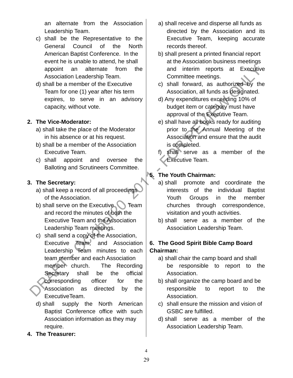an alternate from the Association Leadership Team.

- c) shall be the Representative to the General Council of the North American Baptist Conference. In the event he is unable to attend, he shall appoint an alternate from the Association Leadership Team.
- d) shall be a member of the Executive Team for one (1) year after his term expires, to serve in an advisory capacity, without vote.

#### **2. The Vice-Moderator:**

- a) shall take the place of the Moderator in his absence or at his request.
- b) shall be a member of the Association Executive Team.
- c) shall appoint and oversee the Balloting and Scrutineers Committee.

#### **3. The Secretary:**

- a) shall keep a record of all proceedings of the Association.
- b) shall serve on the Executive Team and record the minutes of both the Executive Team and the Association Leadership Team meetings.
- c) shall send a copy of the Association, Executive Team, and Association Leadership Team minutes to each team member and each Association member church. The Recording Secretary shall be the official corresponding officer for the Association as directed by the ExecutiveTeam.
- d) shall supply the North American Baptist Conference office with such Association information as they may require.
- **4. The Treasurer:**
- a) shall receive and disperse all funds as directed by the Association and its Executive Team, keeping accurate records thereof.
- b) shall present a printed financial report at the Association business meetings and interim reports at Executive Committee meetings.
- c) shall forward, as authorized by the Association, all funds as designated.
- d) Any expenditures exceeding 10% of budget item or category must have approval of the Executive Team.
- e) shall have all books ready for auditing prior to the Annual Meeting of the Association and ensure that the audit is completed.
- f) shall serve as a member of the Executive Team.

#### **5. The Youth Chairman:**

- a) shall promote and coordinate the interests of the individual Baptist Youth Groups in the member churches through correspondence, visitation and youth activities.
- b) shall serve as a member of the Association Leadership Team.

#### **6. The Good Spirit Bible Camp Board Chairman:**

- a) shall chair the camp board and shall be responsible to report to the Association.
- b) shall organize the camp board and be responsible to report to the Association.
- c) shall ensure the mission and vision of GSBC are fulfilled.
- d) shall serve as a member of the Association Leadership Team.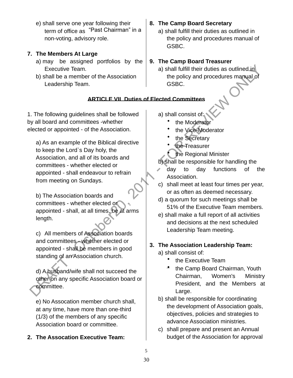e) shall serve one year following their term of office as "Past Chairman" in a non-voting, advisory role.

### **7. The Members At Large**

- a) may be assigned portfolios by the Executive Team.
- b) shall be a member of the Association Leadership Team.

#### **8. The Camp Board Secretary**

a) shall fulfill their duties as outlined in the policy and procedures manual of GSBC.

### **9. The Camp Board Treasurer**

a) shall fulfill their duties as outlined in the policy and procedures manual of GSBC.

#### **ARTICLE VII Duties of Elected Committees**

1. The following guidelines shall be followed by all board and committees -whether elected or appointed - of the Association.

a) As an example of the Biblical directive to keep the Lord`s Day holy, the Association, and all of its boards and committees - whether elected or appointed - shall endeavour to refrain from meeting on Sundays.

b) The Association boards and committees - whether elected or appointed - shall, at all times, be at arms length.

c) All members of Association boards and committees - whether elected or appointed - shall be members in good standing of an Association church.

d) A husband/wife shall not succeed the other on any specific Association board or committee.

e) No Assocation member church shall, at any time, have more than one-third (1/3) of the members of any specific Association board or committee.

### **2. The Assocation Executive Team:**

- a) shall consist of:
	- the Moderator
	- the Vice-Moderator
	- the Secretary
	- the Treasurer
	- the Regional Minister
- b) shall be responsible for handling the

day to day functions of the Association.

- c) shall meet at least four times per year, or as often as deemed necessary.
- d) a quorum for such meetings shall be 51% of the Executive Team members.
- e) shall make a full report of all activities and decisions at the next scheduled Leadership Team meeting.

#### **3. The Association Leadership Team:**

- a) shall consist of:
	- the Executive Team
	- the Camp Board Chairman, Youth Chairman, Women's Ministry President, and the Members at Large.
- b) shall be responsible for coordinating the development of Association goals, objectives, policies and strategies to advance Association ministries.
- c) shall prepare and present an Annual budget of the Association for approval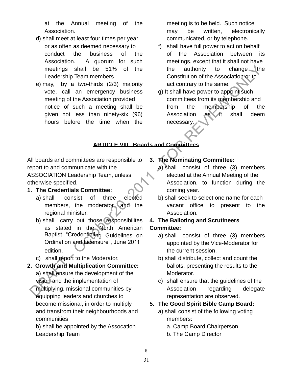at the Annual meeting of the Association.

- d) shall meet at least four times per year or as often as deemed necessary to conduct the business of the Association. A quorum for such meetings shall be 51% of the Leadership Team members.
- e) may, by a two-thirds (2/3) majority vote, call an emergency business meeting of the Association provided notice of such a meeting shall be given not less than ninety-six (96) hours before the time when the

meeting is to be held. Such notice may be written, electronically communicated, or by telephone.

- f) shall have full power to act on behalf of the Association between its meetings, except that it shall not have the authority to change the Constitution of the Association or to act contrary to the same.
- g) It shall have power to appoint such committees from its membership and from the membership of the Association as it shall deem necessary.

#### **ARTICLE VIII Boards and Committees**

All boards and committees are responsible to report to and communicate with the ASSOCIATION Leadership Team, unless otherwise specified.

#### **1. The Credentials Committee:**

- a) shall consist of three elected members, the moderator, and the regional minister.
- b) shall carry out those responsibilites as stated in the North American Baptist "Credentialing Guidelines on Ordination and Licensure", June 2011 edition.
- c) shall report to the Moderator.
- **2. Growth and Multiplication Committee:**  a) shall ensure the development of the vision and the implementation of
	- multiplying, missional communities by equipping leaders and churches to become missional, in order to multiply and transfrom their neighbourhoods and communities

b) shall be appointed by the Assocation Leadership Team

**3. The Nominating Committee:** 

- a) shall consist of three (3) members elected at the Annual Meeting of the Association, to function during the coming year.
- b) shall seek to select one name for each vacant office to present to the Association.

#### **4. The Balloting and Scrutineers Committee:**

- a) shall consist of three (3) members appointed by the Vice-Moderator for the current session.
- b) shall distribute, collect and count the ballots, presenting the results to the Moderator.
- c) shall ensure that the guidelines of the Association regarding delegate representation are observed.

### **5. The Good Spirit Bible Camp Board:**

- a) shall consist of the following voting members:
	- a. Camp Board Chairperson
	- b. The Camp Director
- 6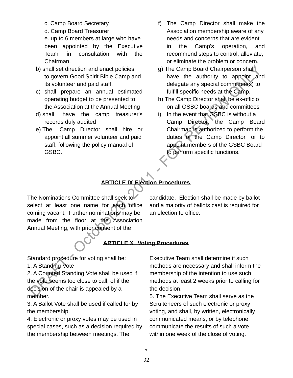- c. Camp Board Secretary
- d. Camp Board Treasurer

e. up to 6 members at large who have been appointed by the Executive Team in consultation with the Chairman.

- b) shall set direction and enact policies to govern Good Spirit Bible Camp and its volunteer and paid staff.
- c) shall prepare an annual estimated operating budget to be presented to the Association at the Annual Meeting
- d) shall have the camp treasurer's records duly audited
- e) The Camp Director shall hire or appoint all summer volunteer and paid staff, following the policy manual of GSBC.
- f) The Camp Director shall make the Association membership aware of any needs and concerns that are evident in the Camp's operation, and recommend steps to control, alleviate, or eliminate the problem or concern.
- g) The Camp Board Chairperson shall have the authority to appoint and delegate any special committee(s) to fulfill specific needs at the Camp.
- h) The Camp Director shall be ex-officio on all GSBC boards and committees
- i) In the event that GSBC is without a Camp Director, the Camp Board Chairman is authorized to perform the duties of the Camp Director, or to appoint members of the GSBC Board to perform specific functions.

#### **ARTICLE IX Election Procedures**

The Nominations Committee shall seek to select at least one name for each office coming vacant. Further nominations may be made from the floor at the Association Annual Meeting, with prior consent of the

candidate. Election shall be made by ballot and a majority of ballots cast is required for an election to office.

#### **ARTICLE X Voting Procedures**

Standard procedure for voting shall be: 1. A Standing Vote

2. A Counted Standing Vote shall be used if the vote seems too close to call, of if the decision of the chair is appealed by a member.

3. A Ballot Vote shall be used if called for by the membership.

4. Electronic or proxy votes may be used in special cases, such as a decision required by the membership between meetings. The

Executive Team shall determine if such methods are necessary and shall inform the membership of the intention to use such methods at least 2 weeks prior to calling for the decision.

5. The Executive Team shall serve as the Scruiteneers of such electronic or proxy voting, and shall, by written, electronically communicated means, or by telephone, communicate the results of such a vote within one week of the close of voting.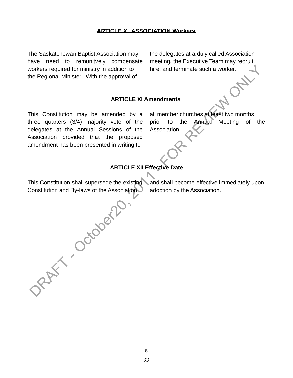#### **ARTICLE X ASSOCIATION Workers**

The Saskatchewan Baptist Association may have need to remunitvely compensate workers required for ministry in addition to the Regional Minister. With the approval of

the delegates at a duly called Association meeting, the Executive Team may recruit, hire, and terminate such a worker.

#### **ARTICLE XI Amendments**

This Constitution may be amended by a three quarters (3/4) majority vote of the delegates at the Annual Sessions of the Association provided that the proposed amendment has been presented in writing to

all member churches at least two months prior to the Annual Meeting of the Association.

 $O_{\gamma}$ 

#### **ARTICLE XII Effective Date**

Constitution and By-laws of the Association

This Constitution shall supersede the existing and shall become effective immediately upon | adoption by the Association.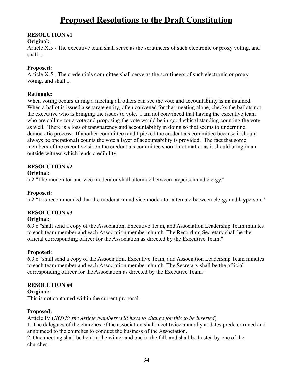## **Proposed Resolutions to the Draft Constitution**

#### **RESOLUTION #1**

#### **Original:**

Article X.5 - The executive team shall serve as the scrutineers of such electronic or proxy voting, and shall ...

#### **Proposed:**

Article X.5 - The credentials committee shall serve as the scrutineers of such electronic or proxy voting, and shall ...

#### **Rationale:**

When voting occurs during a meeting all others can see the vote and accountability is maintained. When a ballot is issued a separate entity, often convened for that meeting alone, checks the ballots not the executive who is bringing the issues to vote. I am not convinced that having the executive team who are calling for a vote and proposing the vote would be in good ethical standing counting the vote as well. There is a loss of transparency and accountability in doing so that seems to undermine democratic process. If another committee (and I picked the credentials committee because it should always be operational) counts the vote a layer of accountability is provided. The fact that some members of the executive sit on the credentials committee should not matter as it should bring in an outside witness which lends credibility.

#### **RESOLUTION #2**

#### **Original:**

5.2 "The moderator and vice moderator shall alternate between layperson and clergy."

#### **Proposed:**

5.2 "It is recommended that the moderator and vice moderator alternate between clergy and layperson."

#### **RESOLUTION #3**

#### **Original:**

6.3.c "shall send a copy of the Association, Executive Team, and Association Leadership Team minutes to each team member and each Association member church. The Recording Secretary shall be the official corresponding officer for the Association as directed by the Executive Team."

#### **Proposed:**

6.3.c "shall send a copy of the Association, Executive Team, and Association Leadership Team minutes to each team member and each Association member church. The Secretary shall be the official corresponding officer for the Association as directed by the Executive Team."

#### **RESOLUTION #4**

#### **Original:**

This is not contained within the current proposal.

#### **Proposed:**

Article IV (*NOTE: the Article Numbers will have to change for this to be inserted*)

1. The delegates of the churches of the association shall meet twice annually at dates predetermined and announced to the churches to conduct the business of the Association.

2. One meeting shall be held in the winter and one in the fall, and shall be hosted by one of the churches.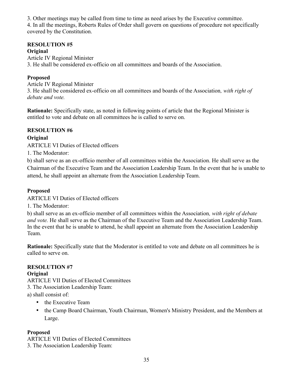3. Other meetings may be called from time to time as need arises by the Executive committee.

4. In all the meetings, Roberts Rules of Order shall govern on questions of procedure not specifically covered by the Constitution.

#### **RESOLUTION #5**

#### **Original**

Article IV Regional Minister 3. He shall be considered ex-officio on all committees and boards of the Association.

#### **Proposed**

Article IV Regional Minister 3. He shall be considered ex-officio on all committees and boards of the Association*, with right of debate and vote.*

**Rationale:** Specifically state, as noted in following points of article that the Regional Minister is entitled to vote and debate on all committees he is called to serve on.

#### **RESOLUTION #6**

#### **Original**

ARTICLE VI Duties of Elected officers

1. The Moderator:

b) shall serve as an ex-officio member of all committees within the Association. He shall serve as the Chairman of the Executive Team and the Association Leadership Team. In the event that he is unable to attend, he shall appoint an alternate from the Association Leadership Team.

#### **Proposed**

ARTICLE VI Duties of Elected officers

1. The Moderator:

b) shall serve as an ex-officio member of all committees within the Association*, with right of debate and vote.* He shall serve as the Chairman of the Executive Team and the Association Leadership Team. In the event that he is unable to attend, he shall appoint an alternate from the Association Leadership Team.

**Rationale:** Specifically state that the Moderator is entitled to vote and debate on all committees he is called to serve on.

### **RESOLUTION #7**

#### **Original**

ARTICLE VII Duties of Elected Committees

3. The Association Leadership Team:

a) shall consist of:

- the Executive Team
- the Camp Board Chairman, Youth Chairman, Women's Ministry President, and the Members at Large.

### **Proposed**

ARTICLE VII Duties of Elected Committees 3. The Association Leadership Team: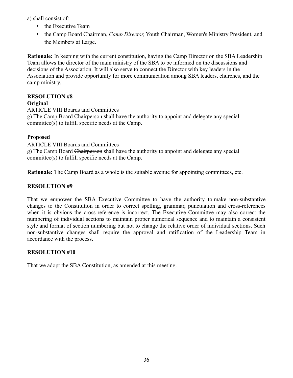a) shall consist of:

- the Executive Team
- the Camp Board Chairman, *Camp Director,* Youth Chairman, Women's Ministry President, and the Members at Large.

**Rationale:** In keeping with the current constitution, having the Camp Director on the SBA Leadership Team allows the director of the main ministry of the SBA to be informed on the discussions and decisions of the Association. It will also serve to connect the Director with key leaders in the Association and provide opportunity for more communication among SBA leaders, churches, and the camp ministry.

## **RESOLUTION #8**

#### **Original**

ARTICLE VIII Boards and Committees g) The Camp Board Chairperson shall have the authority to appoint and delegate any special committee(s) to fulfill specific needs at the Camp.

#### **Proposed**

ARTICLE VIII Boards and Committees

g) The Camp Board Chairperson shall have the authority to appoint and delegate any special committee(s) to fulfill specific needs at the Camp.

**Rationale:** The Camp Board as a whole is the suitable avenue for appointing committees, etc.

#### **RESOLUTION #9**

That we empower the SBA Executive Committee to have the authority to make non-substantive changes to the Constitution in order to correct spelling, grammar, punctuation and cross-references when it is obvious the cross-reference is incorrect. The Executive Committee may also correct the numbering of individual sections to maintain proper numerical sequence and to maintain a consistent style and format of section numbering but not to change the relative order of individual sections. Such non-substantive changes shall require the approval and ratification of the Leadership Team in accordance with the process.

#### **RESOLUTION #10**

That we adopt the SBA Constitution, as amended at this meeting.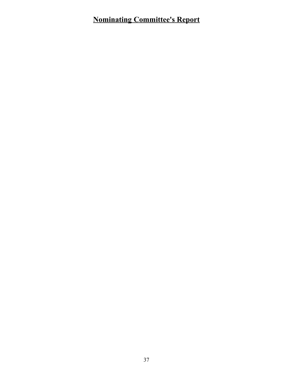## **Nominating Committee's Report**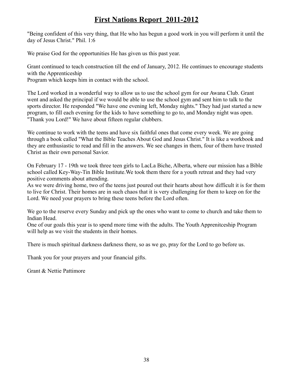## **First Nations Report 2011-2012**

"Being confident of this very thing, that He who has begun a good work in you will perform it until the day of Jesus Christ." Phil. 1:6

We praise God for the opportunities He has given us this past year.

Grant continued to teach construction till the end of January, 2012. He continues to encourage students with the Apprenticeship

Program which keeps him in contact with the school.

The Lord worked in a wonderful way to allow us to use the school gym for our Awana Club. Grant went and asked the principal if we would be able to use the school gym and sent him to talk to the sports director. He responded "We have one evening left, Monday nights." They had just started a new program, to fill each evening for the kids to have something to go to, and Monday night was open. "Thank you Lord!" We have about fifteen regular clubbers.

We continue to work with the teens and have six faithful ones that come every week. We are going through a book called "What the Bible Teaches About God and Jesus Christ." It is like a workbook and they are enthusiastic to read and fill in the answers. We see changes in them, four of them have trusted Christ as their own personal Savior.

On February 17 - 19th we took three teen girls to LacLa Biche, Alberta, where our mission has a Bible school called Key-Way-Tin Bible Institute.We took them there for a youth retreat and they had very positive comments about attending.

As we were driving home, two of the teens just poured out their hearts about how difficult it is for them to live for Christ. Their homes are in such chaos that it is very challenging for them to keep on for the Lord. We need your prayers to bring these teens before the Lord often.

We go to the reserve every Sunday and pick up the ones who want to come to church and take them to Indian Head.

One of our goals this year is to spend more time with the adults. The Youth Apprenitceship Program will help as we visit the students in their homes.

There is much spiritual darkness darkness there, so as we go, pray for the Lord to go before us.

Thank you for your prayers and your financial gifts.

Grant & Nettie Pattimore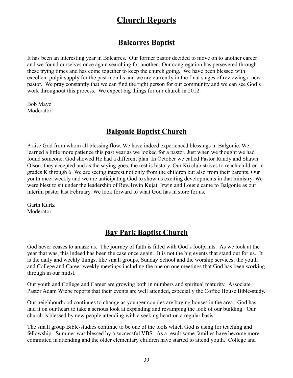## **Church Reports**

## **Balcarres Baptist**

It has been an interesting year in Balcarres. Our former pastor decided to move on to another career and we found ourselves once again searching for another. Our congregation has persevered through these trying times and has come together to keep the church going. We have been blessed with excellent pulpit supply for the past months and we are currently in the final stages of reviewing a new pastor. We pray constantly that we can find the right person for our community and we can see God's work throughout this process. We expect big things for our church in 2012.

Bob Mayo Moderator

## **Balgonie Baptist Church**

Praise God from whom all blessing flow. We have indeed experienced blessings in Balgonie. We learned a little more patience this past year as we looked for a pastor. Just when we thought we had found someone, God showed He had a different plan. In October we called Pastor Randy and Shawn Olson, they accepted and as the saying goes, the rest is history. Our K6 club strives to reach children in grades K through 6. We are seeing interest not only from the children but also from their parents. Our youth meet weekly and we are anticipating God to show us exciting developments in that ministry. We were blest to sit under the leadership of Rev. Irwin Kujat. Irwin and Lousie came to Balgonie as our interim pastor last February. We look forward to what God has in store for us.

Garth Kurtz Moderator

## **Bay Park Baptist Church**

God never ceases to amaze us. The journey of faith is filled with God's footprints. As we look at the year that was, this indeed has been the case once again. It is not the big events that stand out for us. It is the daily and weekly things, like small groups, Sunday School and the worship services, the youth and College and Career weekly meetings including the one on one meetings that God has been working through in our midst.

Our youth and College and Career are growing both in numbers and spiritual maturity. Associate Pastor Adam Wiebe reports that their events are well attended, especially the Coffee House Bible-study.

Our neighbourhood continues to change as younger couples are buying houses in the area. God has laid it on our heart to take a serious look at expanding and revamping the look of our building. Our church is blessed by new people attending with a seeking heart on a regular basis.

The small group Bible-studies continue to be one of the tools which God is using for teaching and fellowship. Summer was blessed by a successful VBS. As a result some families have become more committed in attending and the older elementary children have started to attend youth. College and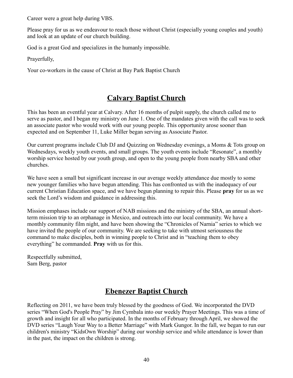Career were a great help during VBS.

Please pray for us as we endeavour to reach those without Christ (especially young couples and youth) and look at an update of our church building.

God is a great God and specializes in the humanly impossible.

Prayerfully,

Your co-workers in the cause of Christ at Bay Park Baptist Church

## **Calvary Baptist Church**

This has been an eventful year at Calvary. After 16 months of pulpit supply, the church called me to serve as pastor, and I began my ministry on June 1. One of the mandates given with the call was to seek an associate pastor who would work with our young people. This opportunity arose sooner than expected and on September 11, Luke Miller began serving as Associate Pastor.

Our current programs include Club DJ and Quizzing on Wednesday evenings, a Moms & Tots group on Wednesdays, weekly youth events, and small groups. The youth events include "Resonate", a monthly worship service hosted by our youth group, and open to the young people from nearby SBA and other churches.

We have seen a small but significant increase in our average weekly attendance due mostly to some new younger families who have begun attending. This has confronted us with the inadequacy of our current Christian Education space, and we have begun planning to repair this. Please **pray** for us as we seek the Lord's wisdom and guidance in addressing this.

Mission emphases include our support of NAB missions and the ministry of the SBA, an annual shortterm mission trip to an orphanage in Mexico, and outreach into our local community. We have a monthly community film night, and have been showing the "Chronicles of Narnia" series to which we have invited the people of our community. We are seeking to take with utmost seriousness the command to make disciples, both in winning people to Christ and in "teaching them to obey everything" he commanded. **Pray** with us for this.

Respectfully submitted, Sam Berg, pastor

## **Ebenezer Baptist Church**

Reflecting on 2011, we have been truly blessed by the goodness of God. We incorporated the DVD series "When God's People Pray" by Jim Cymbala into our weekly Prayer Meetings. This was a time of growth and insight for all who participated. In the months of February through April, we showed the DVD series "Laugh Your Way to a Better Marriage" with Mark Gungor. In the fall, we began to run our children's ministry "KidsOwn Worship" during our worship service and while attendance is lower than in the past, the impact on the children is strong.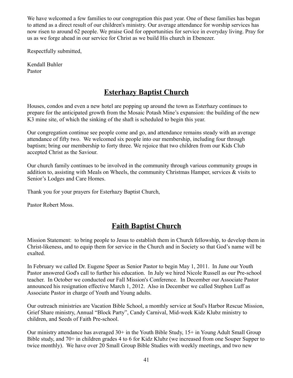We have welcomed a few families to our congregation this past year. One of these families has begun to attend as a direct result of our children's ministry. Our average attendance for worship services has now risen to around 62 people. We praise God for opportunities for service in everyday living. Pray for us as we forge ahead in our service for Christ as we build His church in Ebenezer.

Respectfully submitted,

Kendall Buhler Pastor

## **Esterhazy Baptist Church**

Houses, condos and even a new hotel are popping up around the town as Esterhazy continues to prepare for the anticipated growth from the Mosaic Potash Mine's expansion: the building of the new K3 mine site, of which the sinking of the shaft is scheduled to begin this year.

Our congregation continue see people come and go, and attendance remains steady with an average attendance of fifty two. We welcomed six people into our membership, including four through baptism; bring our membership to forty three. We rejoice that two children from our Kids Club accepted Christ as the Saviour.

Our church family continues to be involved in the community through various community groups in addition to, assisting with Meals on Wheels, the community Christmas Hamper, services & visits to Senior's Lodges and Care Homes.

Thank you for your prayers for Esterhazy Baptist Church,

Pastor Robert Moss.

## **Faith Baptist Church**

Mission Statement: to bring people to Jesus to establish them in Church fellowship, to develop them in Christ-likeness, and to equip them for service in the Church and in Society so that God's name will be exalted.

In February we called Dr. Eugene Speer as Senior Pastor to begin May 1, 2011. In June our Youth Pastor answered God's call to further his education. In July we hired Nicole Russell as our Pre-school teacher. In October we conducted our Fall Mission's Conference. In December our Associate Pastor announced his resignation effective March 1, 2012. Also in December we called Stephen Luff as Associate Pastor in charge of Youth and Young adults.

Our outreach ministries are Vacation Bible School, a monthly service at Soul's Harbor Rescue Mission, Grief Share ministry, Annual "Block Party", Candy Carnival, Mid-week Kidz Klubz ministry to children, and Seeds of Faith Pre-school.

Our ministry attendance has averaged 30+ in the Youth Bible Study, 15+ in Young Adult Small Group Bible study, and 70+ in children grades 4 to 6 for Kidz Klubz (we increased from one Souper Supper to twice monthly). We have over 20 Small Group Bible Studies with weekly meetings, and two new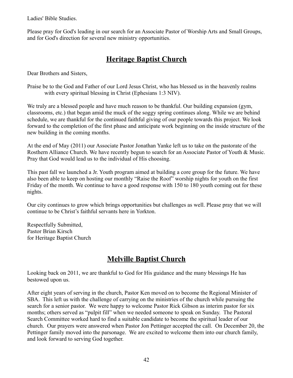Ladies' Bible Studies.

Please pray for God's leading in our search for an Associate Pastor of Worship Arts and Small Groups, and for God's direction for several new ministry opportunities.

## **Heritage Baptist Church**

Dear Brothers and Sisters,

Praise be to the God and Father of our Lord Jesus Christ, who has blessed us in the heavenly realms with every spiritual blessing in Christ (Ephesians 1:3 NIV).

We truly are a blessed people and have much reason to be thankful. Our building expansion (gym, classrooms, etc.) that began amid the muck of the soggy spring continues along. While we are behind schedule, we are thankful for the continued faithful giving of our people towards this project. We look forward to the completion of the first phase and anticipate work beginning on the inside structure of the new building in the coming months.

At the end of May (2011) our Associate Pastor Jonathan Yanke left us to take on the pastorate of the Rosthern Alliance Church. We have recently begun to search for an Associate Pastor of Youth & Music. Pray that God would lead us to the individual of His choosing.

This past fall we launched a Jr. Youth program aimed at building a core group for the future. We have also been able to keep on hosting our monthly "Raise the Roof" worship nights for youth on the first Friday of the month. We continue to have a good response with 150 to 180 youth coming out for these nights.

Our city continues to grow which brings opportunities but challenges as well. Please pray that we will continue to be Christ's faithful servants here in Yorkton.

Respectfully Submitted, Pastor Brian Kirsch for Heritage Baptist Church

## **Melville Baptist Church**

Looking back on 2011, we are thankful to God for His guidance and the many blessings He has bestowed upon us.

After eight years of serving in the church, Pastor Ken moved on to become the Regional Minister of SBA. This left us with the challenge of carrying on the ministries of the church while pursuing the search for a senior pastor. We were happy to welcome Pastor Rick Gibson as interim pastor for six months; others served as "pulpit fill" when we needed someone to speak on Sunday. The Pastoral Search Committee worked hard to find a suitable candidate to become the spiritual leader of our church. Our prayers were answered when Pastor Jon Pettinger accepted the call. On December 20, the Pettinger family moved into the parsonage. We are excited to welcome them into our church family, and look forward to serving God together.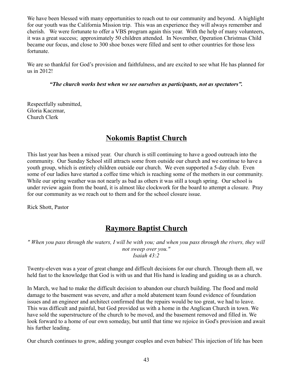We have been blessed with many opportunities to reach out to our community and beyond. A highlight for our youth was the California Mission trip. This was an experience they will always remember and cherish. We were fortunate to offer a VBS program again this year. With the help of many volunteers, it was a great success; approximately 50 children attended. In November, Operation Christmas Child became our focus, and close to 300 shoe boxes were filled and sent to other countries for those less fortunate.

We are so thankful for God's provision and faithfulness, and are excited to see what He has planned for us in 2012!

*"The church works best when we see ourselves as participants, not as spectators".*

Respectfully submitted, Gloria Kaczmar, Church Clerk

## **Nokomis Baptist Church**

This last year has been a mixed year. Our church is still continuing to have a good outreach into the community. Our Sunday School still attracts some from outside our church and we continue to have a youth group, which is entirely children outside our church. We even supported a 5-day club. Even some of our ladies have started a coffee time which is reaching some of the mothers in our community. While our spring weather was not nearly as bad as others it was still a tough spring. Our school is under review again from the board, it is almost like clockwork for the board to attempt a closure. Pray for our community as we reach out to them and for the school closure issue.

Rick Shott, Pastor

## **Raymore Baptist Church**

*" When you pass through the waters, I will be with you; and when you pass through the rivers, they will not sweep over you." Isaiah 43:2*

Twenty-eleven was a year of great change and difficult decisions for our church. Through them all, we held fast to the knowledge that God is with us and that His hand is leading and guiding us as a church.

In March, we had to make the difficult decision to abandon our church building. The flood and mold damage to the basement was severe, and after a mold abatement team found evidence of foundation issues and an engineer and architect confirmed that the repairs would be too great, we had to leave. This was difficult and painful, but God provided us with a home in the Anglican Church in town. We have sold the superstructure of the church to be moved, and the basement removed and filled in. We look forward to a home of our own someday, but until that time we rejoice in God's provision and await his further leading.

Our church continues to grow, adding younger couples and even babies! This injection of life has been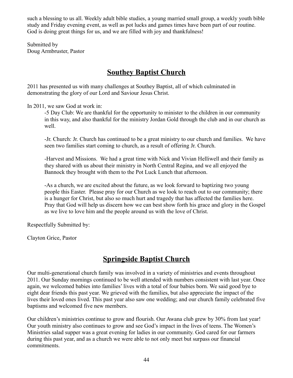such a blessing to us all. Weekly adult bible studies, a young married small group, a weekly youth bible study and Friday evening event, as well as pot lucks and games times have been part of our routine. God is doing great things for us, and we are filled with joy and thankfulness!

Submitted by Doug Armbruster, Pastor

## **Southey Baptist Church**

2011 has presented us with many challenges at Southey Baptist, all of which culminated in demonstrating the glory of our Lord and Saviour Jesus Christ.

In 2011, we saw God at work in:

-5 Day Club: We are thankful for the opportunity to minister to the children in our community in this way, and also thankful for the ministry Jordan Gold through the club and in our church as well.

-Jr. Church: Jr. Church has continued to be a great ministry to our church and families. We have seen two families start coming to church, as a result of offering Jr. Church.

-Harvest and Missions. We had a great time with Nick and Vivian Helliwell and their family as they shared with us about their ministry in North Central Regina, and we all enjoyed the Bannock they brought with them to the Pot Luck Lunch that afternoon.

-As a church, we are excited about the future, as we look forward to baptizing two young people this Easter. Please pray for our Church as we look to reach out to our community; there is a hunger for Christ, but also so much hurt and tragedy that has affected the families here. Pray that God will help us discern how we can best show forth his grace and glory in the Gospel as we live to love him and the people around us with the love of Christ.

Respectfully Submitted by:

Clayton Grice, Pastor

## **Springside Baptist Church**

Our multi-generational church family was involved in a variety of ministries and events throughout 2011. Our Sunday mornings continued to be well attended with numbers consistent with last year. Once again, we welcomed babies into families' lives with a total of four babies born. We said good bye to eight dear friends this past year. We grieved with the families, but also appreciate the impact of the lives their loved ones lived. This past year also saw one wedding; and our church family celebrated five baptisms and welcomed five new members.

Our children's ministries continue to grow and flourish. Our Awana club grew by 30% from last year! Our youth ministry also continues to grow and see God's impact in the lives of teens. The Women's Ministries salad supper was a great evening for ladies in our community. God cared for our farmers during this past year, and as a church we were able to not only meet but surpass our financial commitments.